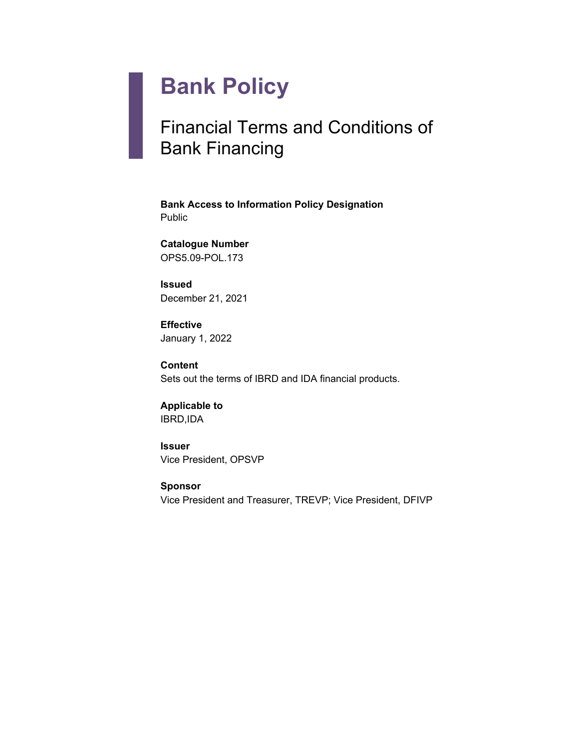# **Bank Policy**

# Financial Terms and Conditions of Bank Financing

**Bank Access to Information Policy Designation** Public

**Catalogue Number** OPS5.09-POL.173

**Issued** December 21, 2021

**Effective** January 1, 2022

**Content** Sets out the terms of IBRD and IDA financial products.

**Applicable to** IBRD,IDA

**Issuer** Vice President, OPSVP

**Sponsor** Vice President and Treasurer, TREVP; Vice President, DFIVP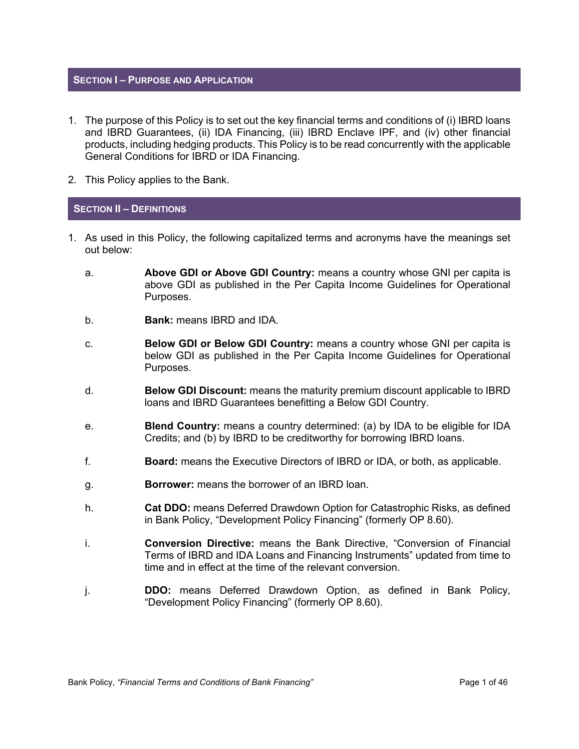# **SECTION I – PURPOSE AND APPLICATION**

- 1. The purpose of this Policy is to set out the key financial terms and conditions of (i) IBRD loans and IBRD Guarantees, (ii) IDA Financing, (iii) IBRD Enclave IPF, and (iv) other financial products, including hedging products. This Policy is to be read concurrently with the applicable General Conditions for IBRD or IDA Financing.
- 2. This Policy applies to the Bank.

#### **SECTION II – DEFINITIONS**

- 1. As used in this Policy, the following capitalized terms and acronyms have the meanings set out below:
	- a. **Above GDI or Above GDI Country:** means a country whose GNI per capita is above GDI as published in the Per Capita Income Guidelines for Operational Purposes.
	- b. **Bank:** means IBRD and IDA.
	- c. **Below GDI or Below GDI Country:** means a country whose GNI per capita is below GDI as published in the Per Capita Income Guidelines for Operational Purposes.
	- d. **Below GDI Discount:** means the maturity premium discount applicable to IBRD loans and IBRD Guarantees benefitting a Below GDI Country.
	- e. **Blend Country:** means a country determined: (a) by IDA to be eligible for IDA Credits; and (b) by IBRD to be creditworthy for borrowing IBRD loans.
	- f. **Board:** means the Executive Directors of IBRD or IDA, or both, as applicable.
	- g. **Borrower:** means the borrower of an IBRD loan.
	- h. **Cat DDO:** means Deferred Drawdown Option for Catastrophic Risks, as defined in Bank Policy, "Development Policy Financing" (formerly OP 8.60).
	- i. **Conversion Directive:** means the Bank Directive, "Conversion of Financial Terms of IBRD and IDA Loans and Financing Instruments" updated from time to time and in effect at the time of the relevant conversion.
	- j. **DDO:** means Deferred Drawdown Option, as defined in Bank Policy, "Development Policy Financing" (formerly OP 8.60).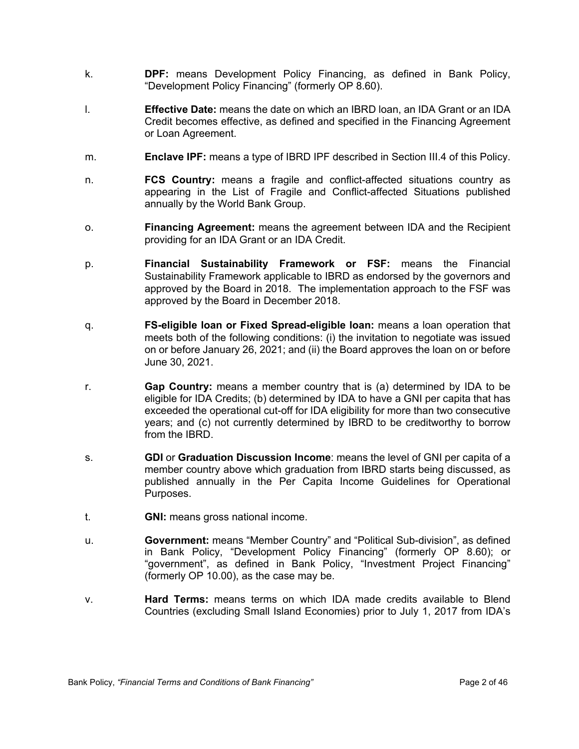- k. **DPF:** means Development Policy Financing, as defined in Bank Policy, "Development Policy Financing" (formerly OP 8.60).
- l. **Effective Date:** means the date on which an IBRD loan, an IDA Grant or an IDA Credit becomes effective, as defined and specified in the Financing Agreement or Loan Agreement.
- m. **Enclave IPF:** means a type of IBRD IPF described in Section III.4 of this Policy.
- n. **FCS Country:** means a fragile and conflict-affected situations country as appearing in the List of Fragile and Conflict-affected Situations published annually by the World Bank Group.
- o. **Financing Agreement:** means the agreement between IDA and the Recipient providing for an IDA Grant or an IDA Credit.
- p. **Financial Sustainability Framework or FSF:** means the Financial Sustainability Framework applicable to IBRD as endorsed by the governors and approved by the Board in 2018. The implementation approach to the FSF was approved by the Board in December 2018.
- q. **FS-eligible loan or Fixed Spread-eligible loan:** means a loan operation that meets both of the following conditions: (i) the invitation to negotiate was issued on or before January 26, 2021; and (ii) the Board approves the loan on or before June 30, 2021.
- r. **Gap Country:** means a member country that is (a) determined by IDA to be eligible for IDA Credits; (b) determined by IDA to have a GNI per capita that has exceeded the operational cut-off for IDA eligibility for more than two consecutive years; and (c) not currently determined by IBRD to be creditworthy to borrow from the IBRD.
- s. **GDI** or **Graduation Discussion Income**: means the level of GNI per capita of a member country above which graduation from IBRD starts being discussed, as published annually in the Per Capita Income Guidelines for Operational Purposes.
- t. **GNI:** means gross national income.
- u. **Government:** means "Member Country" and "Political Sub-division", as defined in Bank Policy, "Development Policy Financing" (formerly OP 8.60); or "government", as defined in Bank Policy, "Investment Project Financing" (formerly OP 10.00), as the case may be.
- v. **Hard Terms:** means terms on which IDA made credits available to Blend Countries (excluding Small Island Economies) prior to July 1, 2017 from IDA's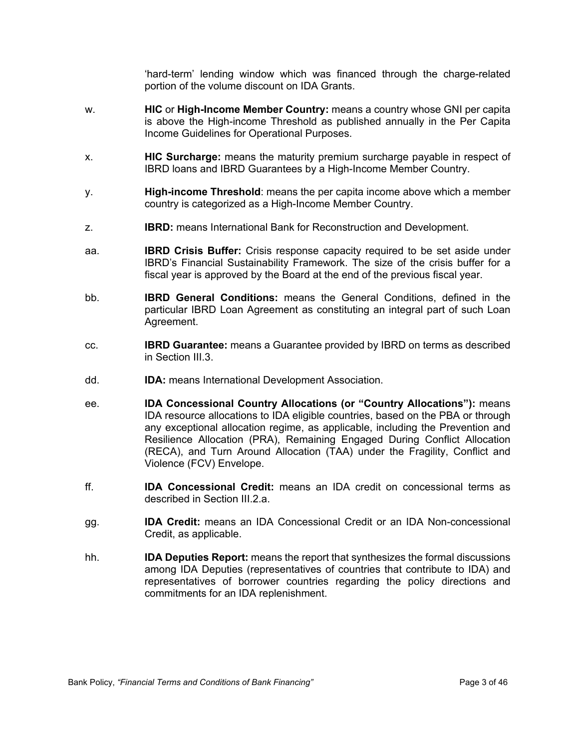'hard-term' lending window which was financed through the charge-related portion of the volume discount on IDA Grants.

- w. **HIC** or **High-Income Member Country:** means a country whose GNI per capita is above the High-income Threshold as published annually in the Per Capita Income Guidelines for Operational Purposes.
- x. **HIC Surcharge:** means the maturity premium surcharge payable in respect of IBRD loans and IBRD Guarantees by a High-Income Member Country.
- y. **High-income Threshold**: means the per capita income above which a member country is categorized as a High-Income Member Country.
- z. **IBRD:** means International Bank for Reconstruction and Development.
- aa. **IBRD Crisis Buffer:** Crisis response capacity required to be set aside under IBRD's Financial Sustainability Framework. The size of the crisis buffer for a fiscal year is approved by the Board at the end of the previous fiscal year.
- bb. **IBRD General Conditions:** means the General Conditions, defined in the particular IBRD Loan Agreement as constituting an integral part of such Loan Agreement.
- cc. **IBRD Guarantee:** means a Guarantee provided by IBRD on terms as described in Section III.3.
- dd. **IDA:** means International Development Association.
- ee. **IDA Concessional Country Allocations (or "Country Allocations"):** means IDA resource allocations to IDA eligible countries, based on the PBA or through any exceptional allocation regime, as applicable, including the Prevention and Resilience Allocation (PRA), Remaining Engaged During Conflict Allocation (RECA), and Turn Around Allocation (TAA) under the Fragility, Conflict and Violence (FCV) Envelope.
- ff. **IDA Concessional Credit:** means an IDA credit on concessional terms as described in Section III.2.a.
- gg. **IDA Credit:** means an IDA Concessional Credit or an IDA Non-concessional Credit, as applicable.
- hh. **IDA Deputies Report:** means the report that synthesizes the formal discussions among IDA Deputies (representatives of countries that contribute to IDA) and representatives of borrower countries regarding the policy directions and commitments for an IDA replenishment.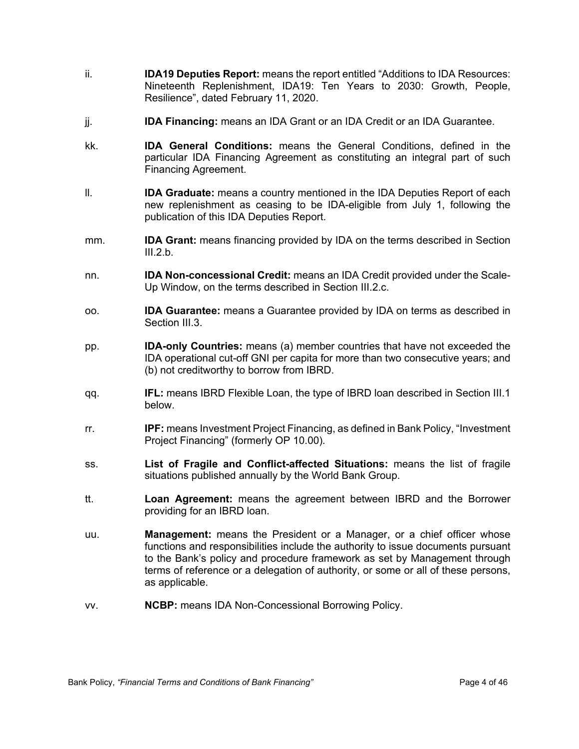- ii. **IDA19 Deputies Report:** means the report entitled "Additions to IDA Resources: Nineteenth Replenishment, IDA19: Ten Years to 2030: Growth, People, Resilience", dated February 11, 2020.
- jj. **IDA Financing:** means an IDA Grant or an IDA Credit or an IDA Guarantee.
- kk. **IDA General Conditions:** means the General Conditions, defined in the particular IDA Financing Agreement as constituting an integral part of such Financing Agreement.
- ll. **IDA Graduate:** means a country mentioned in the IDA Deputies Report of each new replenishment as ceasing to be IDA-eligible from July 1, following the publication of this IDA Deputies Report.
- mm. **IDA Grant:** means financing provided by IDA on the terms described in Section  $III.2.b.$
- nn. **IDA Non-concessional Credit:** means an IDA Credit provided under the Scale-Up Window, on the terms described in Section III.2.c.
- oo. **IDA Guarantee:** means a Guarantee provided by IDA on terms as described in Section III.3.
- pp. **IDA-only Countries:** means (a) member countries that have not exceeded the IDA operational cut-off GNI per capita for more than two consecutive years; and (b) not creditworthy to borrow from IBRD.
- qq. **IFL:** means IBRD Flexible Loan, the type of IBRD loan described in Section III.1 below.
- rr. **IPF:** means Investment Project Financing, as defined in Bank Policy, "Investment Project Financing" (formerly OP 10.00)*.*
- ss. **List of Fragile and Conflict-affected Situations:** means the list of fragile situations published annually by the World Bank Group.
- tt. **Loan Agreement:** means the agreement between IBRD and the Borrower providing for an IBRD loan.
- uu. **Management:** means the President or a Manager, or a chief officer whose functions and responsibilities include the authority to issue documents pursuant to the Bank's policy and procedure framework as set by Management through terms of reference or a delegation of authority, or some or all of these persons, as applicable.
- vv. **NCBP:** means IDA Non-Concessional Borrowing Policy.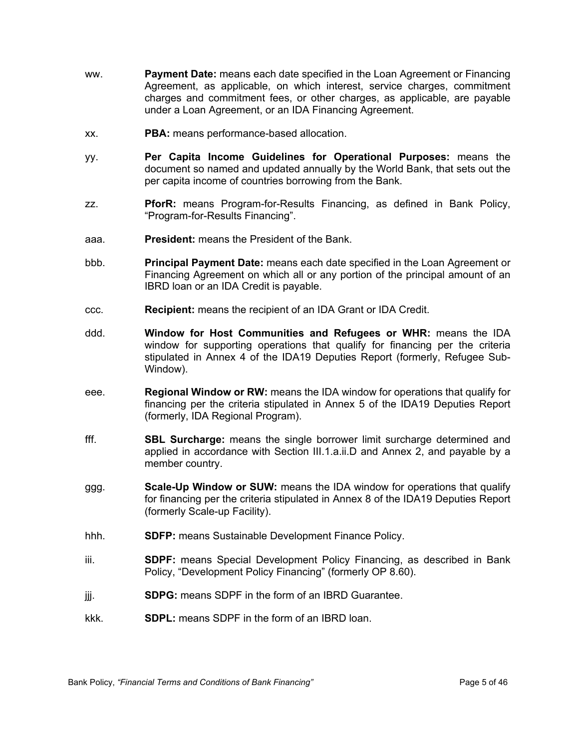- ww. **Payment Date:** means each date specified in the Loan Agreement or Financing Agreement, as applicable, on which interest, service charges, commitment charges and commitment fees, or other charges, as applicable, are payable under a Loan Agreement, or an IDA Financing Agreement.
- xx. **PBA:** means performance-based allocation.
- yy. **Per Capita Income Guidelines for Operational Purposes:** means the document so named and updated annually by the World Bank, that sets out the per capita income of countries borrowing from the Bank.
- zz. **PforR:** means Program-for-Results Financing, as defined in Bank Policy, "Program-for-Results Financing".
- aaa. **President:** means the President of the Bank.
- bbb. **Principal Payment Date:** means each date specified in the Loan Agreement or Financing Agreement on which all or any portion of the principal amount of an IBRD loan or an IDA Credit is payable.
- ccc. **Recipient:** means the recipient of an IDA Grant or IDA Credit.
- ddd. **Window for Host Communities and Refugees or WHR:** means the IDA window for supporting operations that qualify for financing per the criteria stipulated in Annex 4 of the IDA19 Deputies Report (formerly, Refugee Sub-Window).
- eee. **Regional Window or RW:** means the IDA window for operations that qualify for financing per the criteria stipulated in Annex 5 of the IDA19 Deputies Report (formerly, IDA Regional Program).
- fff. **SBL Surcharge:** means the single borrower limit surcharge determined and applied in accordance with Section III.1.a.ii.D and Annex 2, and payable by a member country.
- ggg. **Scale-Up Window or SUW:** means the IDA window for operations that qualify for financing per the criteria stipulated in Annex 8 of the IDA19 Deputies Report (formerly Scale-up Facility).
- hhh. **SDFP:** means Sustainable Development Finance Policy.
- iii. **SDPF:** means Special Development Policy Financing, as described in Bank Policy, "Development Policy Financing" (formerly OP 8.60).
- jjj. **SDPG:** means SDPF in the form of an IBRD Guarantee.
- kkk. **SDPL:** means SDPF in the form of an IBRD loan.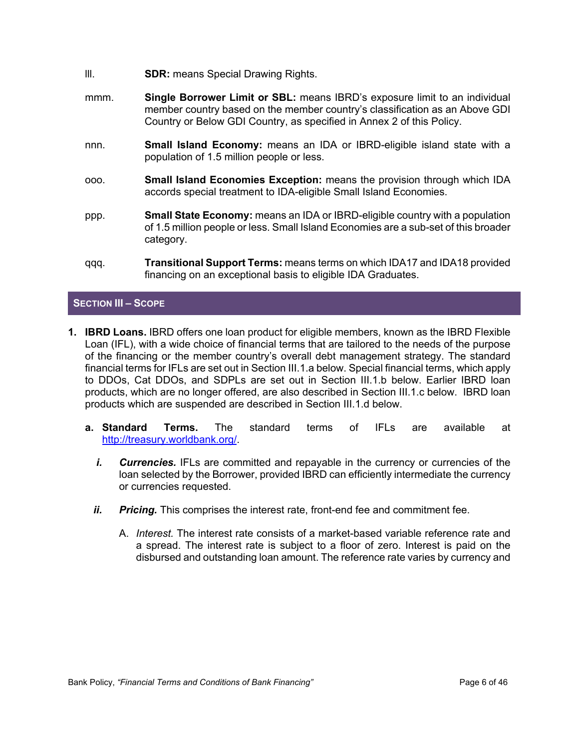- lll. **SDR:** means Special Drawing Rights.
- mmm. **Single Borrower Limit or SBL:** means IBRD's exposure limit to an individual member country based on the member country's classification as an Above GDI Country or Below GDI Country, as specified in Annex 2 of this Policy.
- nnn. **Small Island Economy:** means an IDA or IBRD-eligible island state with a population of 1.5 million people or less.
- ooo. **Small Island Economies Exception:** means the provision through which IDA accords special treatment to IDA-eligible Small Island Economies.
- ppp. **Small State Economy:** means an IDA or IBRD-eligible country with a population of 1.5 million people or less. Small Island Economies are a sub-set of this broader category.
- qqq. **Transitional Support Terms:** means terms on which IDA17 and IDA18 provided financing on an exceptional basis to eligible IDA Graduates.

# **SECTION III – SCOPE**

- **1. IBRD Loans.** IBRD offers one loan product for eligible members, known as the IBRD Flexible Loan (IFL), with a wide choice of financial terms that are tailored to the needs of the purpose of the financing or the member country's overall debt management strategy. The standard financial terms for IFLs are set out in Section III.1.a below. Special financial terms, which apply to DDOs, Cat DDOs, and SDPLs are set out in Section III.1.b below. Earlier IBRD loan products, which are no longer offered, are also described in Section III.1.c below. IBRD loan products which are suspended are described in Section III.1.d below.
	- **a. Standard Terms.** The standard terms of IFLs are available at <http://treasury.worldbank.org/>.
		- *i.* Currencies. IFLs are committed and repayable in the currency or currencies of the loan selected by the Borrower, provided IBRD can efficiently intermediate the currency or currencies requested.
		- *ii.* Pricing. This comprises the interest rate, front-end fee and commitment fee.
			- A. *Interest.* The interest rate consists of a market-based variable reference rate and a spread. The interest rate is subject to a floor of zero. Interest is paid on the disbursed and outstanding loan amount. The reference rate varies by currency and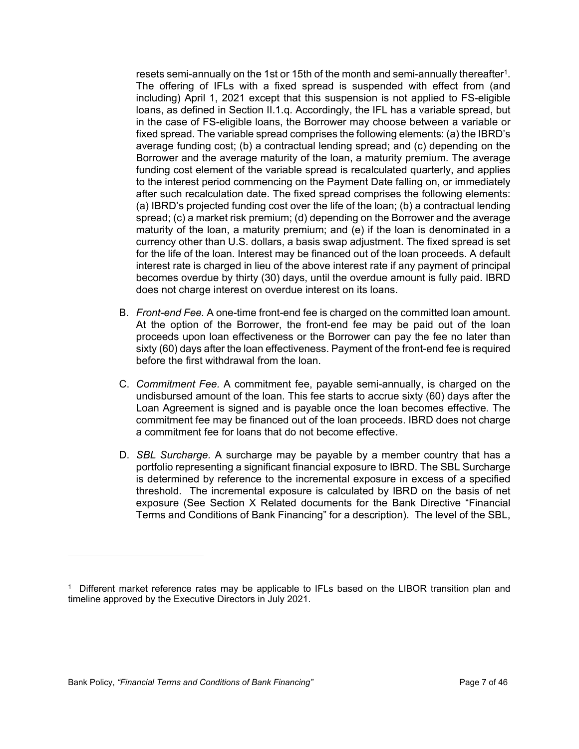resets semi-annually on the 1st or 15th of the month and semi-annually thereafter<sup>1</sup>. The offering of IFLs with a fixed spread is suspended with effect from (and including) April 1, 2021 except that this suspension is not applied to FS-eligible loans, as defined in Section II.1.q. Accordingly, the IFL has a variable spread, but in the case of FS-eligible loans, the Borrower may choose between a variable or fixed spread. The variable spread comprises the following elements: (a) the IBRD's average funding cost; (b) a contractual lending spread; and (c) depending on the Borrower and the average maturity of the loan, a maturity premium. The average funding cost element of the variable spread is recalculated quarterly, and applies to the interest period commencing on the Payment Date falling on, or immediately after such recalculation date. The fixed spread comprises the following elements: (a) IBRD's projected funding cost over the life of the loan; (b) a contractual lending spread; (c) a market risk premium; (d) depending on the Borrower and the average maturity of the loan, a maturity premium; and (e) if the loan is denominated in a currency other than U.S. dollars, a basis swap adjustment. The fixed spread is set for the life of the loan. Interest may be financed out of the loan proceeds. A default interest rate is charged in lieu of the above interest rate if any payment of principal becomes overdue by thirty (30) days, until the overdue amount is fully paid. IBRD does not charge interest on overdue interest on its loans.

- B. *Front-end Fee.* A one-time front-end fee is charged on the committed loan amount. At the option of the Borrower, the front-end fee may be paid out of the loan proceeds upon loan effectiveness or the Borrower can pay the fee no later than sixty (60) days after the loan effectiveness. Payment of the front-end fee is required before the first withdrawal from the loan.
- C. *Commitment Fee.* A commitment fee, payable semi-annually, is charged on the undisbursed amount of the loan. This fee starts to accrue sixty (60) days after the Loan Agreement is signed and is payable once the loan becomes effective. The commitment fee may be financed out of the loan proceeds. IBRD does not charge a commitment fee for loans that do not become effective.
- D. *SBL Surcharge.* A surcharge may be payable by a member country that has a portfolio representing a significant financial exposure to IBRD. The SBL Surcharge is determined by reference to the incremental exposure in excess of a specified threshold. The incremental exposure is calculated by IBRD on the basis of net exposure (See Section X Related documents for the Bank Directive "Financial Terms and Conditions of Bank Financing" for a description). The level of the SBL,

<sup>1</sup> Different market reference rates may be applicable to IFLs based on the LIBOR transition plan and timeline approved by the Executive Directors in July 2021.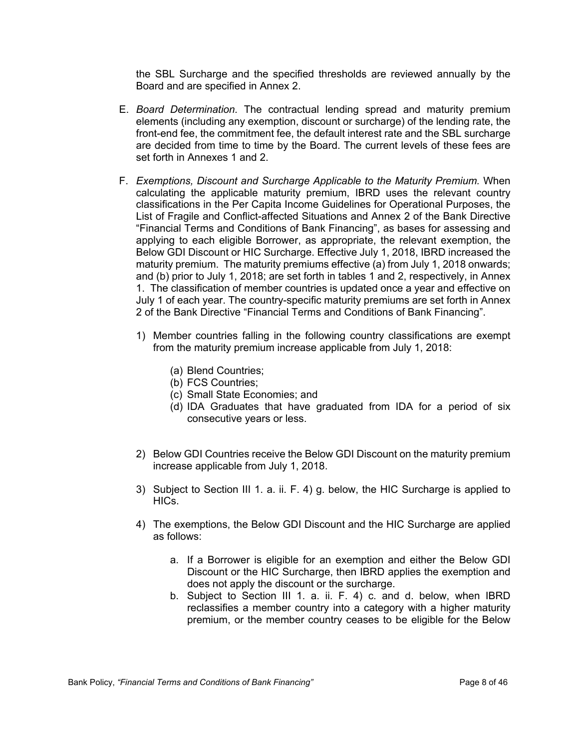the SBL Surcharge and the specified thresholds are reviewed annually by the Board and are specified in Annex 2.

- E. *Board Determination.* The contractual lending spread and maturity premium elements (including any exemption, discount or surcharge) of the lending rate, the front-end fee, the commitment fee, the default interest rate and the SBL surcharge are decided from time to time by the Board. The current levels of these fees are set forth in Annexes 1 and 2.
- F. *Exemptions, Discount and Surcharge Applicable to the Maturity Premium.* When calculating the applicable maturity premium, IBRD uses the relevant country classifications in the Per Capita Income Guidelines for Operational Purposes, the List of Fragile and Conflict-affected Situations and Annex 2 of the Bank Directive "Financial Terms and Conditions of Bank Financing", as bases for assessing and applying to each eligible Borrower, as appropriate, the relevant exemption, the Below GDI Discount or HIC Surcharge. Effective July 1, 2018, IBRD increased the maturity premium. The maturity premiums effective (a) from July 1, 2018 onwards; and (b) prior to July 1, 2018; are set forth in tables 1 and 2, respectively, in Annex 1. The classification of member countries is updated once a year and effective on July 1 of each year. The country-specific maturity premiums are set forth in Annex 2 of the Bank Directive "Financial Terms and Conditions of Bank Financing".
	- 1) Member countries falling in the following country classifications are exempt from the maturity premium increase applicable from July 1, 2018:
		- (a) Blend Countries;
		- (b) FCS Countries;
		- (c) Small State Economies; and
		- (d) IDA Graduates that have graduated from IDA for a period of six consecutive years or less.
	- 2) Below GDI Countries receive the Below GDI Discount on the maturity premium increase applicable from July 1, 2018.
	- 3) Subject to Section III 1. a. ii. F. 4) g. below, the HIC Surcharge is applied to HICs.
	- 4) The exemptions, the Below GDI Discount and the HIC Surcharge are applied as follows:
		- a. If a Borrower is eligible for an exemption and either the Below GDI Discount or the HIC Surcharge, then IBRD applies the exemption and does not apply the discount or the surcharge.
		- b. Subject to Section III 1. a. ii. F. 4) c. and d. below, when IBRD reclassifies a member country into a category with a higher maturity premium, or the member country ceases to be eligible for the Below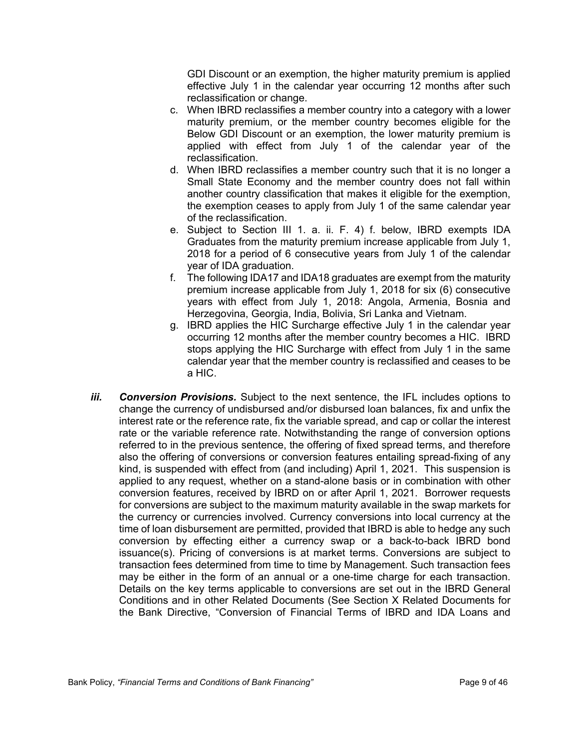GDI Discount or an exemption, the higher maturity premium is applied effective July 1 in the calendar year occurring 12 months after such reclassification or change.

- c. When IBRD reclassifies a member country into a category with a lower maturity premium, or the member country becomes eligible for the Below GDI Discount or an exemption, the lower maturity premium is applied with effect from July 1 of the calendar year of the reclassification.
- d. When IBRD reclassifies a member country such that it is no longer a Small State Economy and the member country does not fall within another country classification that makes it eligible for the exemption, the exemption ceases to apply from July 1 of the same calendar year of the reclassification.
- e. Subject to Section III 1. a. ii. F. 4) f. below, IBRD exempts IDA Graduates from the maturity premium increase applicable from July 1, 2018 for a period of 6 consecutive years from July 1 of the calendar year of IDA graduation.
- f. The following IDA17 and IDA18 graduates are exempt from the maturity premium increase applicable from July 1, 2018 for six (6) consecutive years with effect from July 1, 2018: Angola, Armenia, Bosnia and Herzegovina, Georgia, India, Bolivia, Sri Lanka and Vietnam.
- g. IBRD applies the HIC Surcharge effective July 1 in the calendar year occurring 12 months after the member country becomes a HIC. IBRD stops applying the HIC Surcharge with effect from July 1 in the same calendar year that the member country is reclassified and ceases to be a HIC.
- *iii. Conversion Provisions.* Subject to the next sentence, the IFL includes options to change the currency of undisbursed and/or disbursed loan balances, fix and unfix the interest rate or the reference rate, fix the variable spread, and cap or collar the interest rate or the variable reference rate. Notwithstanding the range of conversion options referred to in the previous sentence, the offering of fixed spread terms, and therefore also the offering of conversions or conversion features entailing spread-fixing of any kind, is suspended with effect from (and including) April 1, 2021. This suspension is applied to any request, whether on a stand-alone basis or in combination with other conversion features, received by IBRD on or after April 1, 2021. Borrower requests for conversions are subject to the maximum maturity available in the swap markets for the currency or currencies involved. Currency conversions into local currency at the time of loan disbursement are permitted, provided that IBRD is able to hedge any such conversion by effecting either a currency swap or a back-to-back IBRD bond issuance(s). Pricing of conversions is at market terms. Conversions are subject to transaction fees determined from time to time by Management. Such transaction fees may be either in the form of an annual or a one-time charge for each transaction. Details on the key terms applicable to conversions are set out in the IBRD General Conditions and in other Related Documents (See Section X Related Documents for the Bank Directive, "Conversion of Financial Terms of IBRD and IDA Loans and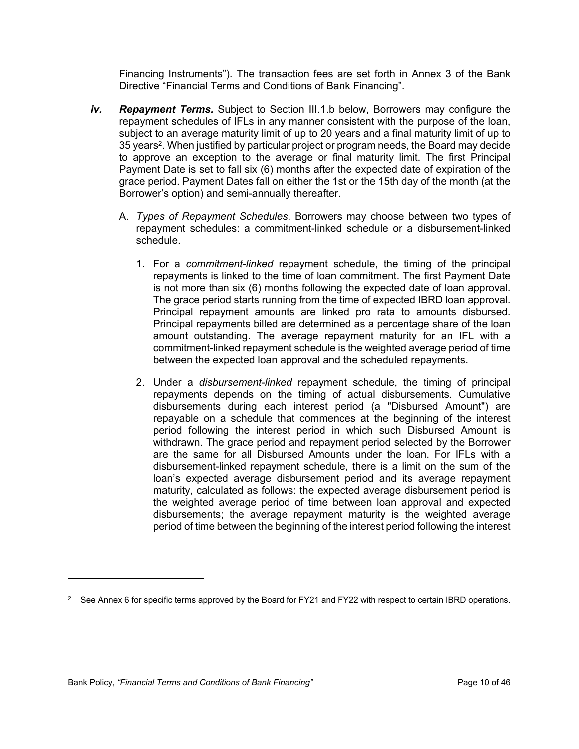Financing Instruments"). The transaction fees are set forth in Annex 3 of the Bank Directive "Financial Terms and Conditions of Bank Financing".

- *iv. Repayment Terms.* Subject to Section III.1.b below, Borrowers may configure the repayment schedules of IFLs in any manner consistent with the purpose of the loan, subject to an average maturity limit of up to 20 years and a final maturity limit of up to 35 years<sup>2</sup>. When justified by particular project or program needs, the Board may decide to approve an exception to the average or final maturity limit. The first Principal Payment Date is set to fall six (6) months after the expected date of expiration of the grace period. Payment Dates fall on either the 1st or the 15th day of the month (at the Borrower's option) and semi-annually thereafter.
	- A. *Types of Repayment Schedules*. Borrowers may choose between two types of repayment schedules: a commitment-linked schedule or a disbursement-linked schedule.
		- 1. For a *commitment-linked* repayment schedule, the timing of the principal repayments is linked to the time of loan commitment. The first Payment Date is not more than six (6) months following the expected date of loan approval. The grace period starts running from the time of expected IBRD loan approval. Principal repayment amounts are linked pro rata to amounts disbursed. Principal repayments billed are determined as a percentage share of the loan amount outstanding. The average repayment maturity for an IFL with a commitment-linked repayment schedule is the weighted average period of time between the expected loan approval and the scheduled repayments.
		- 2. Under a *disbursement-linked* repayment schedule, the timing of principal repayments depends on the timing of actual disbursements. Cumulative disbursements during each interest period (a "Disbursed Amount") are repayable on a schedule that commences at the beginning of the interest period following the interest period in which such Disbursed Amount is withdrawn. The grace period and repayment period selected by the Borrower are the same for all Disbursed Amounts under the loan. For IFLs with a disbursement-linked repayment schedule, there is a limit on the sum of the loan's expected average disbursement period and its average repayment maturity, calculated as follows: the expected average disbursement period is the weighted average period of time between loan approval and expected disbursements; the average repayment maturity is the weighted average period of time between the beginning of the interest period following the interest

 $2 \quad$  See Annex 6 for specific terms approved by the Board for FY21 and FY22 with respect to certain IBRD operations.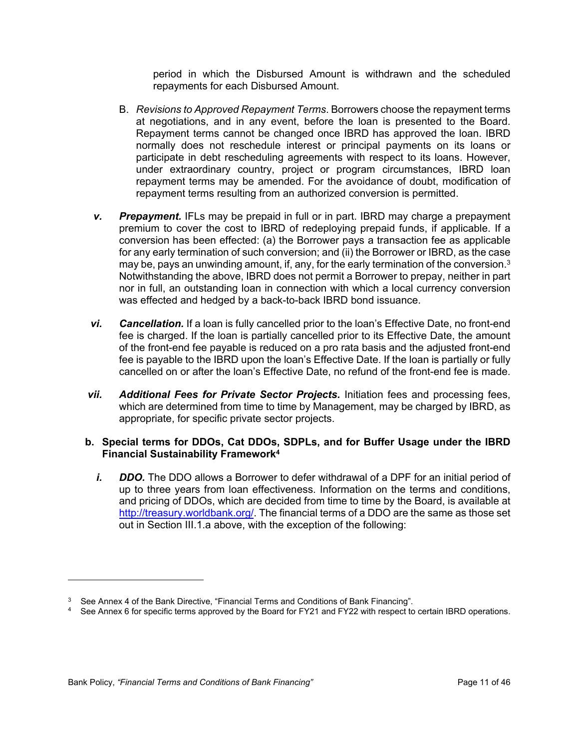period in which the Disbursed Amount is withdrawn and the scheduled repayments for each Disbursed Amount.

- B. *Revisions to Approved Repayment Terms*. Borrowers choose the repayment terms at negotiations, and in any event, before the loan is presented to the Board. Repayment terms cannot be changed once IBRD has approved the loan. IBRD normally does not reschedule interest or principal payments on its loans or participate in debt rescheduling agreements with respect to its loans. However, under extraordinary country, project or program circumstances, IBRD loan repayment terms may be amended. For the avoidance of doubt, modification of repayment terms resulting from an authorized conversion is permitted.
- *v. Prepayment.* IFLs may be prepaid in full or in part. IBRD may charge a prepayment premium to cover the cost to IBRD of redeploying prepaid funds, if applicable. If a conversion has been effected: (a) the Borrower pays a transaction fee as applicable for any early termination of such conversion; and (ii) the Borrower or IBRD, as the case may be, pays an unwinding amount, if, any, for the early termination of the conversion. $3$ Notwithstanding the above, IBRD does not permit a Borrower to prepay, neither in part nor in full, an outstanding loan in connection with which a local currency conversion was effected and hedged by a back-to-back IBRD bond issuance.
- *vi. Cancellation.* If a loan is fully cancelled prior to the loan's Effective Date, no front-end fee is charged. If the loan is partially cancelled prior to its Effective Date, the amount of the front-end fee payable is reduced on a pro rata basis and the adjusted front-end fee is payable to the IBRD upon the loan's Effective Date. If the loan is partially or fully cancelled on or after the loan's Effective Date, no refund of the front-end fee is made.
- *vii. Additional Fees for Private Sector Projects.* Initiation fees and processing fees, which are determined from time to time by Management, may be charged by IBRD, as appropriate, for specific private sector projects.

# **b. Special terms for DDOs, Cat DDOs, SDPLs, and for Buffer Usage under the IBRD Financial Sustainability Framework<sup>4</sup>**

*i. DDO.* The DDO allows a Borrower to defer withdrawal of a DPF for an initial period of up to three years from loan effectiveness. Information on the terms and conditions, and pricing of DDOs, which are decided from time to time by the Board, is available at <http://treasury.worldbank.org/>. The financial terms of a DDO are the same as those set out in Section III.1.a above, with the exception of the following:

 $3$  See Annex 4 of the Bank Directive, "Financial Terms and Conditions of Bank Financing".

<sup>4</sup> See Annex 6 for specific terms approved by the Board for FY21 and FY22 with respect to certain IBRD operations.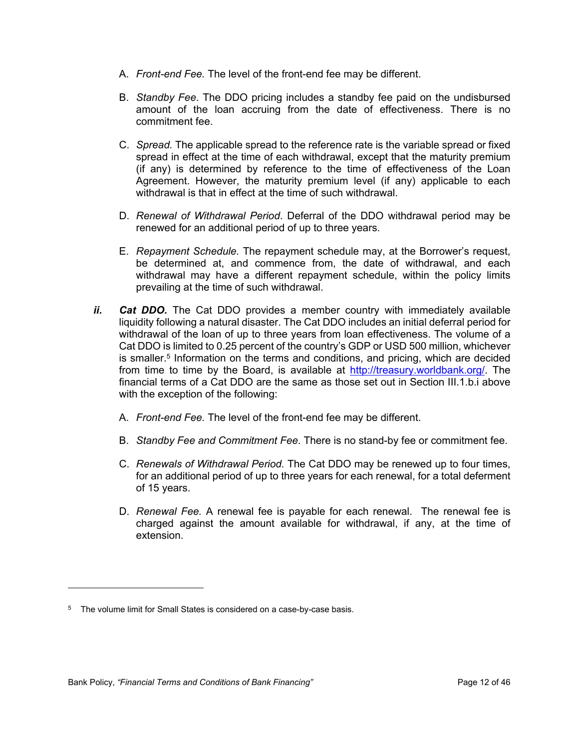- A. *Front-end Fee.* The level of the front-end fee may be different.
- B. *Standby Fee*. The DDO pricing includes a standby fee paid on the undisbursed amount of the loan accruing from the date of effectiveness. There is no commitment fee.
- C. *Spread.* The applicable spread to the reference rate is the variable spread or fixed spread in effect at the time of each withdrawal, except that the maturity premium (if any) is determined by reference to the time of effectiveness of the Loan Agreement. However, the maturity premium level (if any) applicable to each withdrawal is that in effect at the time of such withdrawal.
- D. *Renewal of Withdrawal Period*. Deferral of the DDO withdrawal period may be renewed for an additional period of up to three years.
- E. *Repayment Schedule.* The repayment schedule may, at the Borrower's request, be determined at, and commence from, the date of withdrawal, and each withdrawal may have a different repayment schedule, within the policy limits prevailing at the time of such withdrawal.
- *ii. Cat DDO.* The Cat DDO provides a member country with immediately available liquidity following a natural disaster. The Cat DDO includes an initial deferral period for withdrawal of the loan of up to three years from loan effectiveness. The volume of a Cat DDO is limited to 0.25 percent of the country's GDP or USD 500 million, whichever is smaller.<sup>5</sup> Information on the terms and conditions, and pricing, which are decided from time to time by the Board, is available at [http://treasury.worldbank.org/.](http://treasury.worldbank.org/) The financial terms of a Cat DDO are the same as those set out in Section III.1.b.i above with the exception of the following:
	- A. *Front-end Fee.* The level of the front-end fee may be different.
	- B. *Standby Fee and Commitment Fee*. There is no stand-by fee or commitment fee.
	- C. *Renewals of Withdrawal Period.* The Cat DDO may be renewed up to four times, for an additional period of up to three years for each renewal, for a total deferment of 15 years.
	- D. *Renewal Fee.* A renewal fee is payable for each renewal. The renewal fee is charged against the amount available for withdrawal, if any, at the time of extension.

<sup>&</sup>lt;sup>5</sup> The volume limit for Small States is considered on a case-by-case basis.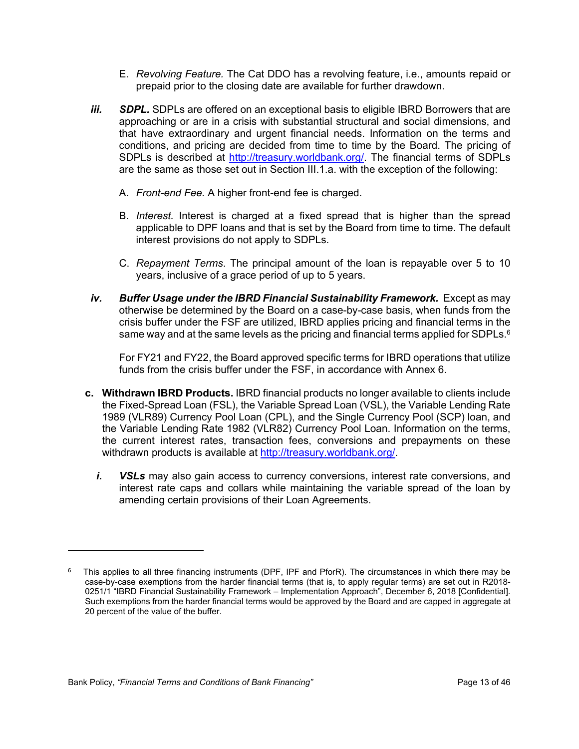- E. *Revolving Feature.* The Cat DDO has a revolving feature, i.e., amounts repaid or prepaid prior to the closing date are available for further drawdown.
- *iii.* SDPL. SDPLs are offered on an exceptional basis to eligible IBRD Borrowers that are approaching or are in a crisis with substantial structural and social dimensions, and that have extraordinary and urgent financial needs. Information on the terms and conditions, and pricing are decided from time to time by the Board. The pricing of SDPLs is described at [http://treasury.worldbank.org/.](http://treasury.worldbank.org/) The financial terms of SDPLs are the same as those set out in Section III.1.a. with the exception of the following:
	- A. *Front-end Fee.* A higher front-end fee is charged.
	- B. *Interest.* Interest is charged at a fixed spread that is higher than the spread applicable to DPF loans and that is set by the Board from time to time. The default interest provisions do not apply to SDPLs.
	- C. *Repayment Terms*. The principal amount of the loan is repayable over 5 to 10 years, inclusive of a grace period of up to 5 years.
- *iv. Buffer Usage under the IBRD Financial Sustainability Framework.* Except as may otherwise be determined by the Board on a case-by-case basis, when funds from the crisis buffer under the FSF are utilized, IBRD applies pricing and financial terms in the same way and at the same levels as the pricing and financial terms applied for SDPLs. $6$

For FY21 and FY22, the Board approved specific terms for IBRD operations that utilize funds from the crisis buffer under the FSF, in accordance with Annex 6.

- **c. Withdrawn IBRD Products.** IBRD financial products no longer available to clients include the Fixed-Spread Loan (FSL), the Variable Spread Loan (VSL), the Variable Lending Rate 1989 (VLR89) Currency Pool Loan (CPL), and the Single Currency Pool (SCP) loan, and the Variable Lending Rate 1982 (VLR82) Currency Pool Loan. Information on the terms, the current interest rates, transaction fees, conversions and prepayments on these withdrawn products is available at [http://treasury.worldbank.org/.](http://treasury.worldbank.org/)
	- *i. VSLs* may also gain access to currency conversions, interest rate conversions, and interest rate caps and collars while maintaining the variable spread of the loan by amending certain provisions of their Loan Agreements.

<sup>6</sup> This applies to all three financing instruments (DPF, IPF and PforR). The circumstances in which there may be case-by-case exemptions from the harder financial terms (that is, to apply regular terms) are set out in R2018- 0251/1 "IBRD Financial Sustainability Framework – Implementation Approach", December 6, 2018 [Confidential]. Such exemptions from the harder financial terms would be approved by the Board and are capped in aggregate at 20 percent of the value of the buffer.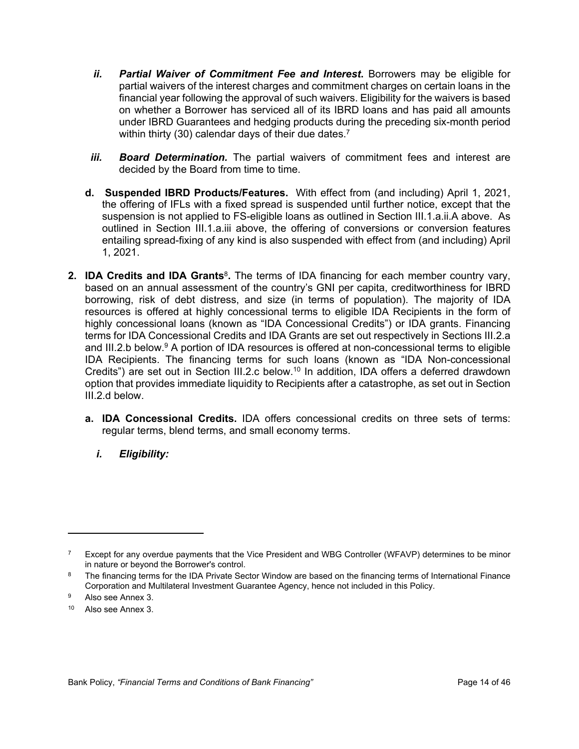- *ii. Partial Waiver of Commitment Fee and Interest***.** Borrowers may be eligible for partial waivers of the interest charges and commitment charges on certain loans in the financial year following the approval of such waivers. Eligibility for the waivers is based on whether a Borrower has serviced all of its IBRD loans and has paid all amounts under IBRD Guarantees and hedging products during the preceding six-month period within thirty (30) calendar days of their due dates.<sup>7</sup>
- *iii. Board Determination.* The partial waivers of commitment fees and interest are decided by the Board from time to time.
- **d. Suspended IBRD Products/Features.** With effect from (and including) April 1, 2021, the offering of IFLs with a fixed spread is suspended until further notice, except that the suspension is not applied to FS-eligible loans as outlined in Section III.1.a.ii.A above. As outlined in Section III.1.a.iii above, the offering of conversions or conversion features entailing spread-fixing of any kind is also suspended with effect from (and including) April 1, 2021.
- 2. **IDA Credits and IDA Grants**<sup>8</sup>. The terms of IDA financing for each member country vary, based on an annual assessment of the country's GNI per capita, creditworthiness for IBRD borrowing, risk of debt distress, and size (in terms of population). The majority of IDA resources is offered at highly concessional terms to eligible IDA Recipients in the form of highly concessional loans (known as "IDA Concessional Credits") or IDA grants. Financing terms for IDA Concessional Credits and IDA Grants are set out respectively in Sections III.2.a and III.2.b below.<sup>9</sup> A portion of IDA resources is offered at non-concessional terms to eligible IDA Recipients. The financing terms for such loans (known as "IDA Non-concessional Credits") are set out in Section III.2.c below.<sup>10</sup> In addition, IDA offers a deferred drawdown option that provides immediate liquidity to Recipients after a catastrophe, as set out in Section III.2.d below.
	- **a. IDA Concessional Credits.** IDA offers concessional credits on three sets of terms: regular terms, blend terms, and small economy terms.
		- *i. Eligibility:*

<sup>7</sup> Except for any overdue payments that the Vice President and WBG Controller (WFAVP) determines to be minor in nature or beyond the Borrower's control.

<sup>8</sup> The financing terms for the IDA Private Sector Window are based on the financing terms of International Finance Corporation and Multilateral Investment Guarantee Agency, hence not included in this Policy.

<sup>9</sup> Also see Annex 3.

<sup>10</sup> Also see Annex 3.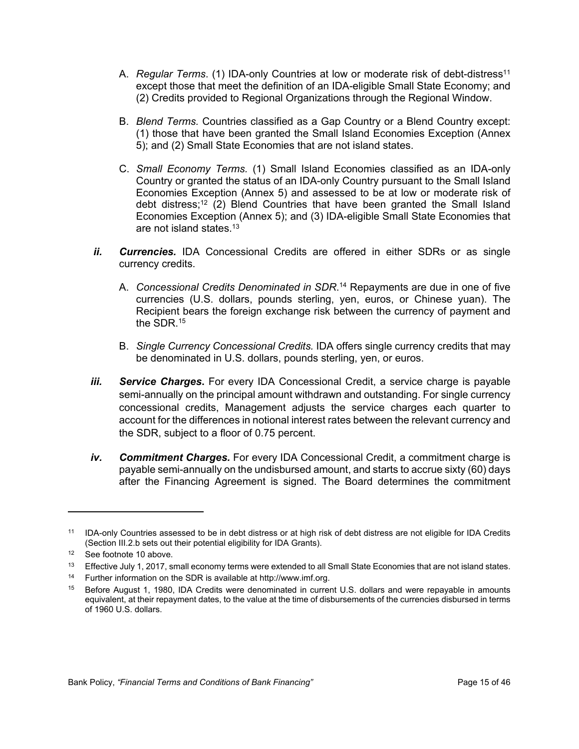- A. *Regular Terms*. (1) IDA-only Countries at low or moderate risk of debt-distress<sup>11</sup> except those that meet the definition of an IDA-eligible Small State Economy; and (2) Credits provided to Regional Organizations through the Regional Window.
- B. *Blend Terms.* Countries classified as a Gap Country or a Blend Country except: (1) those that have been granted the Small Island Economies Exception (Annex 5); and (2) Small State Economies that are not island states.
- C. *Small Economy Terms.* (1) Small Island Economies classified as an IDA-only Country or granted the status of an IDA-only Country pursuant to the Small Island Economies Exception (Annex 5) and assessed to be at low or moderate risk of debt distress;<sup>12</sup> (2) Blend Countries that have been granted the Small Island Economies Exception (Annex 5); and (3) IDA-eligible Small State Economies that are not island states.<sup>13</sup>
- *ii. Currencies.* IDA Concessional Credits are offered in either SDRs or as single currency credits.
	- A. *Concessional Credits Denominated in SDR*. <sup>14</sup> Repayments are due in one of five currencies (U.S. dollars, pounds sterling, yen, euros, or Chinese yuan). The Recipient bears the foreign exchange risk between the currency of payment and the SDR. $15$
	- B. *Single Currency Concessional Credits.* IDA offers single currency credits that may be denominated in U.S. dollars, pounds sterling, yen, or euros.
- *iii. Service Charges***.** For every IDA Concessional Credit, a service charge is payable semi-annually on the principal amount withdrawn and outstanding. For single currency concessional credits, Management adjusts the service charges each quarter to account for the differences in notional interest rates between the relevant currency and the SDR, subject to a floor of 0.75 percent.
- *iv. Commitment Charges.* For every IDA Concessional Credit, a commitment charge is payable semi-annually on the undisbursed amount, and starts to accrue sixty (60) days after the Financing Agreement is signed. The Board determines the commitment

<sup>11</sup> IDA-only Countries assessed to be in debt distress or at high risk of debt distress are not eligible for IDA Credits (Section III.2.b sets out their potential eligibility for IDA Grants).

<sup>12</sup> See footnote 10 above.

<sup>&</sup>lt;sup>13</sup> Effective July 1, 2017, small economy terms were extended to all Small State Economies that are not island states.

<sup>14</sup> Further information on the SDR is available at http://www.imf.org.

<sup>15</sup> Before August 1, 1980, IDA Credits were denominated in current U.S. dollars and were repayable in amounts equivalent, at their repayment dates, to the value at the time of disbursements of the currencies disbursed in terms of 1960 U.S. dollars.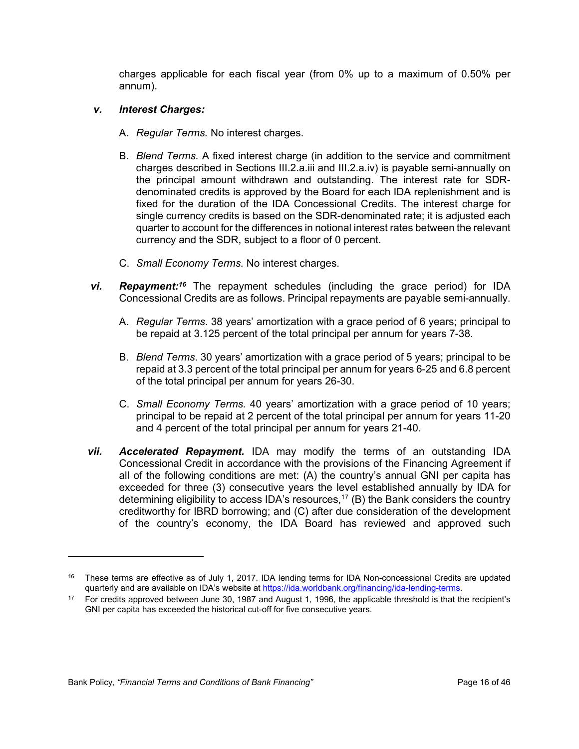charges applicable for each fiscal year (from 0% up to a maximum of 0.50% per annum).

# *v. Interest Charges:*

- A. *Regular Terms.* No interest charges.
- B. *Blend Terms.* A fixed interest charge (in addition to the service and commitment charges described in Sections III.2.a.iii and III.2.a.iv) is payable semi-annually on the principal amount withdrawn and outstanding. The interest rate for SDRdenominated credits is approved by the Board for each IDA replenishment and is fixed for the duration of the IDA Concessional Credits. The interest charge for single currency credits is based on the SDR-denominated rate; it is adjusted each quarter to account for the differences in notional interest rates between the relevant currency and the SDR, subject to a floor of 0 percent.
- C. *Small Economy Terms.* No interest charges.
- *vi. Repayment:<sup>16</sup>* The repayment schedules (including the grace period) for IDA Concessional Credits are as follows. Principal repayments are payable semi-annually.
	- A. *Regular Terms*. 38 years' amortization with a grace period of 6 years; principal to be repaid at 3.125 percent of the total principal per annum for years 7-38.
	- B. *Blend Terms*. 30 years' amortization with a grace period of 5 years; principal to be repaid at 3.3 percent of the total principal per annum for years 6-25 and 6.8 percent of the total principal per annum for years 26-30.
	- C. *Small Economy Terms.* 40 years' amortization with a grace period of 10 years; principal to be repaid at 2 percent of the total principal per annum for years 11-20 and 4 percent of the total principal per annum for years 21-40.
- *vii. Accelerated Repayment.* IDA may modify the terms of an outstanding IDA Concessional Credit in accordance with the provisions of the Financing Agreement if all of the following conditions are met: (A) the country's annual GNI per capita has exceeded for three (3) consecutive years the level established annually by IDA for determining eligibility to access IDA's resources,<sup>17</sup> (B) the Bank considers the country creditworthy for IBRD borrowing; and (C) after due consideration of the development of the country's economy, the IDA Board has reviewed and approved such

<sup>&</sup>lt;sup>16</sup> These terms are effective as of July 1, 2017. IDA lending terms for IDA Non-concessional Credits are updated quarterly and are available on IDA's website at [https://ida.worldbank.org/financing/ida-lending-terms.](https://ida.worldbank.org/financing/ida-lending-terms)

<sup>&</sup>lt;sup>17</sup> For credits approved between June 30, 1987 and August 1, 1996, the applicable threshold is that the recipient's GNI per capita has exceeded the historical cut-off for five consecutive years.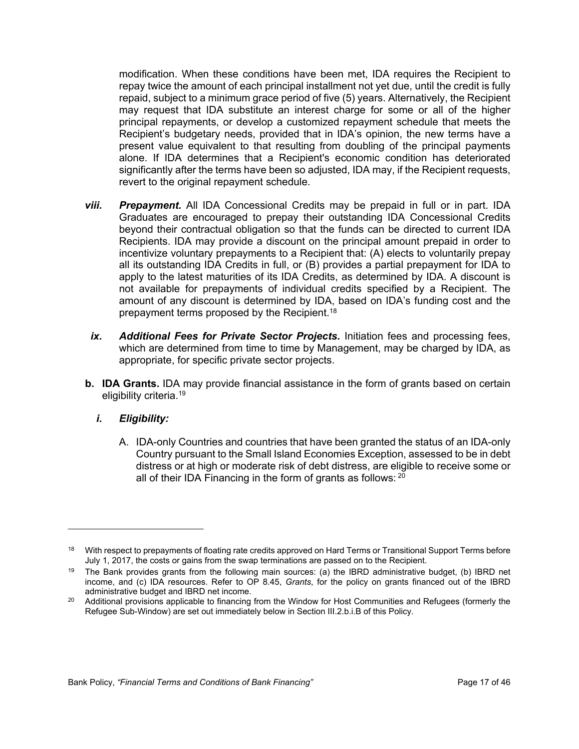modification. When these conditions have been met, IDA requires the Recipient to repay twice the amount of each principal installment not yet due, until the credit is fully repaid, subject to a minimum grace period of five (5) years. Alternatively, the Recipient may request that IDA substitute an interest charge for some or all of the higher principal repayments, or develop a customized repayment schedule that meets the Recipient's budgetary needs, provided that in IDA's opinion, the new terms have a present value equivalent to that resulting from doubling of the principal payments alone. If IDA determines that a Recipient's economic condition has deteriorated significantly after the terms have been so adjusted, IDA may, if the Recipient requests, revert to the original repayment schedule.

- *viii. Prepayment.* All IDA Concessional Credits may be prepaid in full or in part. IDA Graduates are encouraged to prepay their outstanding IDA Concessional Credits beyond their contractual obligation so that the funds can be directed to current IDA Recipients. IDA may provide a discount on the principal amount prepaid in order to incentivize voluntary prepayments to a Recipient that: (A) elects to voluntarily prepay all its outstanding IDA Credits in full, or (B) provides a partial prepayment for IDA to apply to the latest maturities of its IDA Credits, as determined by IDA. A discount is not available for prepayments of individual credits specified by a Recipient. The amount of any discount is determined by IDA, based on IDA's funding cost and the prepayment terms proposed by the Recipient.<sup>18</sup>
- *ix. Additional Fees for Private Sector Projects.* Initiation fees and processing fees, which are determined from time to time by Management, may be charged by IDA, as appropriate, for specific private sector projects.
- **b. IDA Grants.** IDA may provide financial assistance in the form of grants based on certain eligibility criteria.<sup>19</sup>
	- *i. Eligibility:*
		- A. IDA-only Countries and countries that have been granted the status of an IDA-only Country pursuant to the Small Island Economies Exception, assessed to be in debt distress or at high or moderate risk of debt distress, are eligible to receive some or all of their IDA Financing in the form of grants as follows: 20

<sup>18</sup> With respect to prepayments of floating rate credits approved on Hard Terms or Transitional Support Terms before July 1, 2017, the costs or gains from the swap terminations are passed on to the Recipient.

<sup>19</sup> The Bank provides grants from the following main sources: (a) the IBRD administrative budget, (b) IBRD net income, and (c) IDA resources. Refer to OP 8.45, *Grants*, for the policy on grants financed out of the IBRD administrative budget and IBRD net income.

<sup>&</sup>lt;sup>20</sup> Additional provisions applicable to financing from the Window for Host Communities and Refugees (formerly the Refugee Sub-Window) are set out immediately below in Section III.2.b.i.B of this Policy.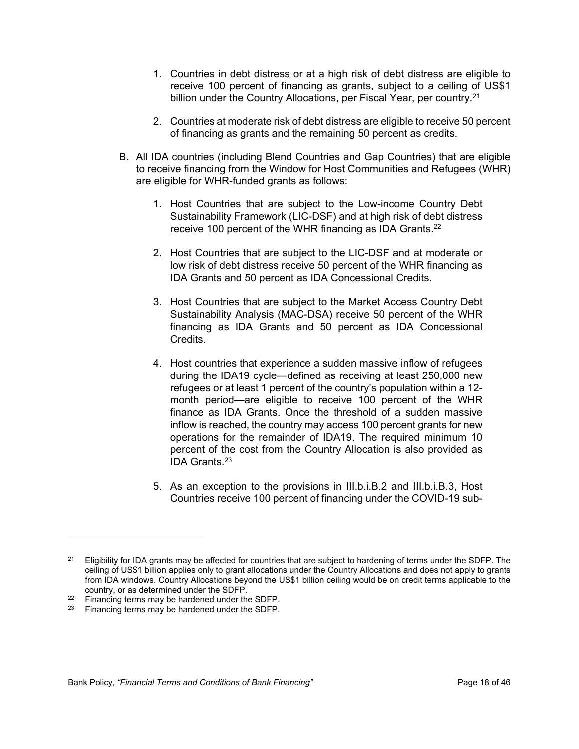- 1. Countries in debt distress or at a high risk of debt distress are eligible to receive 100 percent of financing as grants, subject to a ceiling of US\$1 billion under the Country Allocations, per Fiscal Year, per country.<sup>21</sup>
- 2. Countries at moderate risk of debt distress are eligible to receive 50 percent of financing as grants and the remaining 50 percent as credits.
- B. All IDA countries (including Blend Countries and Gap Countries) that are eligible to receive financing from the Window for Host Communities and Refugees (WHR) are eligible for WHR-funded grants as follows:
	- 1. Host Countries that are subject to the Low-income Country Debt Sustainability Framework (LIC-DSF) and at high risk of debt distress receive 100 percent of the WHR financing as IDA Grants.<sup>22</sup>
	- 2. Host Countries that are subject to the LIC-DSF and at moderate or low risk of debt distress receive 50 percent of the WHR financing as IDA Grants and 50 percent as IDA Concessional Credits.
	- 3. Host Countries that are subject to the Market Access Country Debt Sustainability Analysis (MAC-DSA) receive 50 percent of the WHR financing as IDA Grants and 50 percent as IDA Concessional Credits.
	- 4. Host countries that experience a sudden massive inflow of refugees during the IDA19 cycle—defined as receiving at least 250,000 new refugees or at least 1 percent of the country's population within a 12 month period—are eligible to receive 100 percent of the WHR finance as IDA Grants. Once the threshold of a sudden massive inflow is reached, the country may access 100 percent grants for new operations for the remainder of IDA19. The required minimum 10 percent of the cost from the Country Allocation is also provided as IDA Grants.<sup>23</sup>
	- 5. As an exception to the provisions in III.b.i.B.2 and III.b.i.B.3, Host Countries receive 100 percent of financing under the COVID-19 sub-

<sup>&</sup>lt;sup>21</sup> Eligibility for IDA grants may be affected for countries that are subject to hardening of terms under the SDFP. The ceiling of US\$1 billion applies only to grant allocations under the Country Allocations and does not apply to grants from IDA windows. Country Allocations beyond the US\$1 billion ceiling would be on credit terms applicable to the country, or as determined under the SDFP.

<sup>22</sup> Financing terms may be hardened under the SDFP.

<sup>23</sup> Financing terms may be hardened under the SDFP.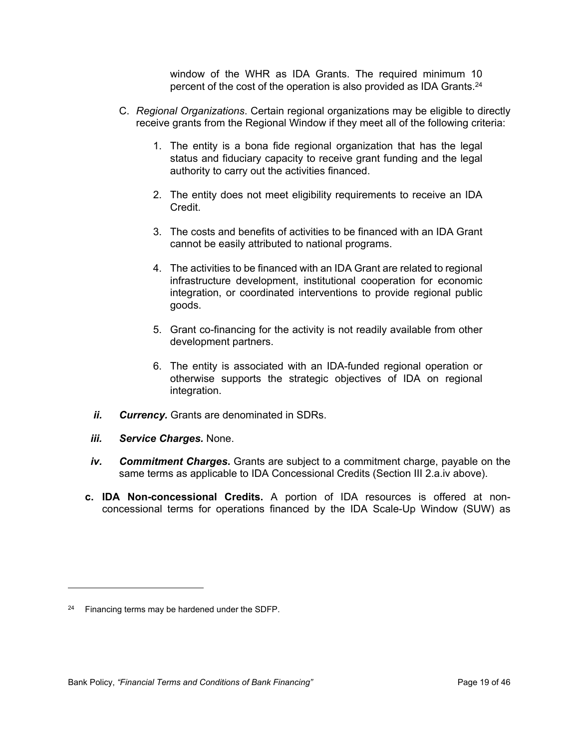window of the WHR as IDA Grants. The required minimum 10 percent of the cost of the operation is also provided as IDA Grants.<sup>24</sup>

- C. *Regional Organizations*. Certain regional organizations may be eligible to directly receive grants from the Regional Window if they meet all of the following criteria:
	- 1. The entity is a bona fide regional organization that has the legal status and fiduciary capacity to receive grant funding and the legal authority to carry out the activities financed.
	- 2. The entity does not meet eligibility requirements to receive an IDA Credit.
	- 3. The costs and benefits of activities to be financed with an IDA Grant cannot be easily attributed to national programs.
	- 4. The activities to be financed with an IDA Grant are related to regional infrastructure development, institutional cooperation for economic integration, or coordinated interventions to provide regional public goods.
	- 5. Grant co-financing for the activity is not readily available from other development partners.
	- 6. The entity is associated with an IDA-funded regional operation or otherwise supports the strategic objectives of IDA on regional integration.
- *ii. Currency.* Grants are denominated in SDRs.
- *iii. Service Charges.* None.
- *iv. Commitment Charges***.** Grants are subject to a commitment charge, payable on the same terms as applicable to IDA Concessional Credits (Section III 2.a.iv above).
- **c. IDA Non-concessional Credits.** A portion of IDA resources is offered at nonconcessional terms for operations financed by the IDA Scale-Up Window (SUW) as

 $24$  Financing terms may be hardened under the SDFP.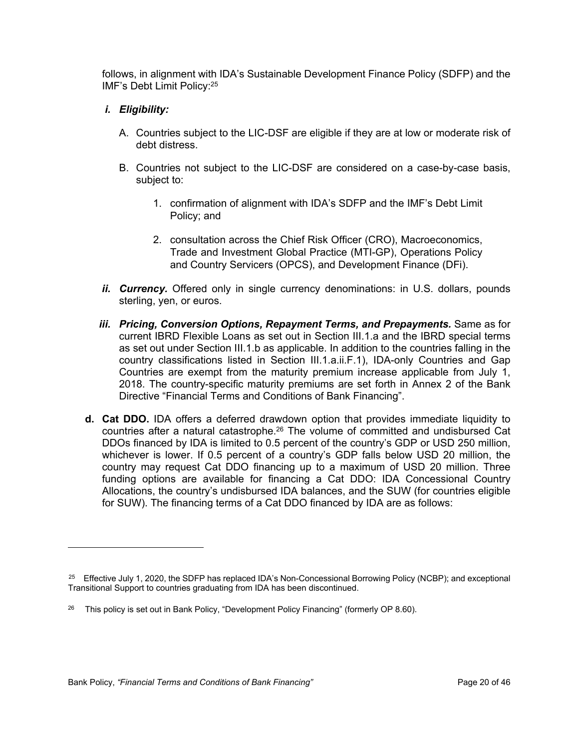follows, in alignment with IDA's Sustainable Development Finance Policy (SDFP) and the IMF's Debt Limit Policy:<sup>25</sup>

# *i. Eligibility:*

- A. Countries subject to the LIC-DSF are eligible if they are at low or moderate risk of debt distress.
- B. Countries not subject to the LIC-DSF are considered on a case-by-case basis, subject to:
	- 1. confirmation of alignment with IDA's SDFP and the IMF's Debt Limit Policy; and
	- 2. consultation across the Chief Risk Officer (CRO), Macroeconomics, Trade and Investment Global Practice (MTI-GP), Operations Policy and Country Servicers (OPCS), and Development Finance (DFi).
- *ii. Currency.* Offered only in single currency denominations: in U.S. dollars, pounds sterling, yen, or euros.
- *iii. Pricing, Conversion Options, Repayment Terms, and Prepayments. Same as for* current IBRD Flexible Loans as set out in Section III.1.a and the IBRD special terms as set out under Section III.1.b as applicable. In addition to the countries falling in the country classifications listed in Section III.1.a.ii.F.1), IDA-only Countries and Gap Countries are exempt from the maturity premium increase applicable from July 1, 2018. The country-specific maturity premiums are set forth in Annex 2 of the Bank Directive "Financial Terms and Conditions of Bank Financing".
- **d. Cat DDO.** IDA offers a deferred drawdown option that provides immediate liquidity to countries after a natural catastrophe.<sup>26</sup> The volume of committed and undisbursed Cat DDOs financed by IDA is limited to 0.5 percent of the country's GDP or USD 250 million, whichever is lower. If 0.5 percent of a country's GDP falls below USD 20 million, the country may request Cat DDO financing up to a maximum of USD 20 million. Three funding options are available for financing a Cat DDO: IDA Concessional Country Allocations, the country's undisbursed IDA balances, and the SUW (for countries eligible for SUW). The financing terms of a Cat DDO financed by IDA are as follows:

<sup>&</sup>lt;sup>25</sup> Effective July 1, 2020, the SDFP has replaced IDA's Non-Concessional Borrowing Policy (NCBP); and exceptional Transitional Support to countries graduating from IDA has been discontinued.

<sup>&</sup>lt;sup>26</sup> This policy is set out in Bank Policy, "Development Policy Financing" (formerly OP 8.60).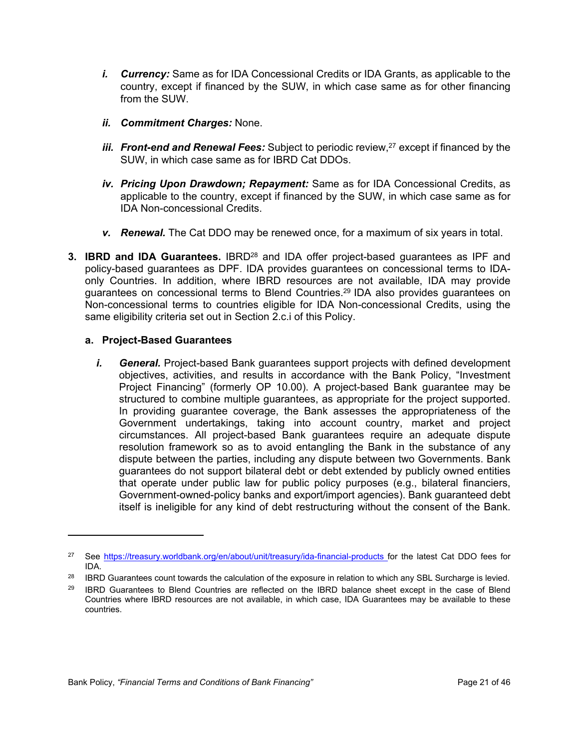- *i. Currency:* Same as for IDA Concessional Credits or IDA Grants, as applicable to the country, except if financed by the SUW, in which case same as for other financing from the SUW.
- *ii. Commitment Charges:* None.
- *iii. Front-end and Renewal Fees:* Subject to periodic review,<sup>27</sup> except if financed by the SUW, in which case same as for IBRD Cat DDOs.
- *iv. Pricing Upon Drawdown; Repayment:* Same as for IDA Concessional Credits, as applicable to the country, except if financed by the SUW, in which case same as for IDA Non-concessional Credits.
- *v. Renewal.* The Cat DDO may be renewed once, for a maximum of six years in total.
- **3. IBRD and IDA Guarantees.** IBRD<sup>28</sup> and IDA offer project-based guarantees as IPF and policy-based guarantees as DPF. IDA provides guarantees on concessional terms to IDAonly Countries. In addition, where IBRD resources are not available, IDA may provide guarantees on concessional terms to Blend Countries.<sup>29</sup> IDA also provides guarantees on Non-concessional terms to countries eligible for IDA Non-concessional Credits, using the same eligibility criteria set out in Section 2.c.i of this Policy.

# **a. Project-Based Guarantees**

*i. General.* Project-based Bank guarantees support projects with defined development objectives, activities, and results in accordance with the Bank Policy, "Investment Project Financing" (formerly OP 10.00). A project-based Bank guarantee may be structured to combine multiple guarantees, as appropriate for the project supported. In providing guarantee coverage, the Bank assesses the appropriateness of the Government undertakings, taking into account country, market and project circumstances. All project-based Bank guarantees require an adequate dispute resolution framework so as to avoid entangling the Bank in the substance of any dispute between the parties, including any dispute between two Governments. Bank guarantees do not support bilateral debt or debt extended by publicly owned entities that operate under public law for public policy purposes (e.g., bilateral financiers, Government-owned-policy banks and export/import agencies). Bank guaranteed debt itself is ineligible for any kind of debt restructuring without the consent of the Bank.

<sup>&</sup>lt;sup>27</sup> See <https://treasury.worldbank.org/en/about/unit/treasury/ida-financial-products> for the latest Cat DDO fees for IDA.

<sup>&</sup>lt;sup>28</sup> IBRD Guarantees count towards the calculation of the exposure in relation to which any SBL Surcharge is levied.

<sup>&</sup>lt;sup>29</sup> IBRD Guarantees to Blend Countries are reflected on the IBRD balance sheet except in the case of Blend Countries where IBRD resources are not available, in which case, IDA Guarantees may be available to these countries.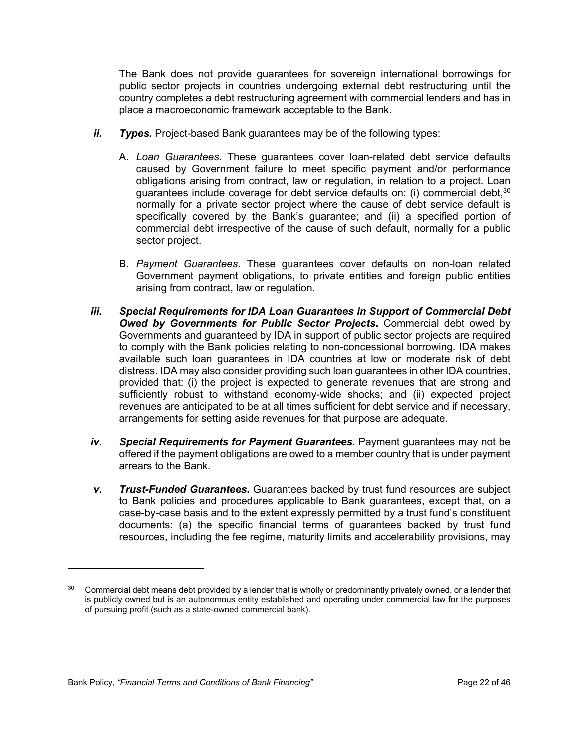The Bank does not provide guarantees for sovereign international borrowings for public sector projects in countries undergoing external debt restructuring until the country completes a debt restructuring agreement with commercial lenders and has in place a macroeconomic framework acceptable to the Bank.

- *ii. Types.* Project-based Bank guarantees may be of the following types:
	- A. *Loan Guarantees*. These guarantees cover loan-related debt service defaults caused by Government failure to meet specific payment and/or performance obligations arising from contract, law or regulation, in relation to a project. Loan guarantees include coverage for debt service defaults on: (i) commercial debt,<sup>30</sup> normally for a private sector project where the cause of debt service default is specifically covered by the Bank's guarantee; and (ii) a specified portion of commercial debt irrespective of the cause of such default, normally for a public sector project.
	- B. *Payment Guarantees*. These guarantees cover defaults on non-loan related Government payment obligations, to private entities and foreign public entities arising from contract, law or regulation.
- *iii. Special Requirements for IDA Loan Guarantees in Support of Commercial Debt Owed by Governments for Public Sector Projects***.** Commercial debt owed by Governments and guaranteed by IDA in support of public sector projects are required to comply with the Bank policies relating to non-concessional borrowing. IDA makes available such loan guarantees in IDA countries at low or moderate risk of debt distress. IDA may also consider providing such loan guarantees in other IDA countries, provided that: (i) the project is expected to generate revenues that are strong and sufficiently robust to withstand economy-wide shocks; and (ii) expected project revenues are anticipated to be at all times sufficient for debt service and if necessary, arrangements for setting aside revenues for that purpose are adequate.
- *iv. Special Requirements for Payment Guarantees.* Payment guarantees may not be offered if the payment obligations are owed to a member country that is under payment arrears to the Bank.
- *v. Trust-Funded Guarantees***.** Guarantees backed by trust fund resources are subject to Bank policies and procedures applicable to Bank guarantees, except that, on a case-by-case basis and to the extent expressly permitted by a trust fund's constituent documents: (a) the specific financial terms of guarantees backed by trust fund resources, including the fee regime, maturity limits and accelerability provisions, may

<sup>&</sup>lt;sup>30</sup> Commercial debt means debt provided by a lender that is wholly or predominantly privately owned, or a lender that is publicly owned but is an autonomous entity established and operating under commercial law for the purposes of pursuing profit (such as a state-owned commercial bank).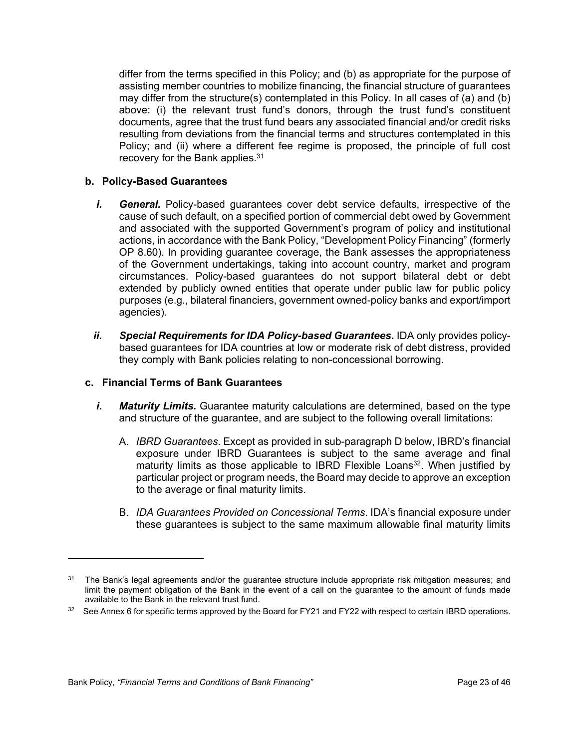differ from the terms specified in this Policy; and (b) as appropriate for the purpose of assisting member countries to mobilize financing, the financial structure of guarantees may differ from the structure(s) contemplated in this Policy. In all cases of (a) and (b) above: (i) the relevant trust fund's donors, through the trust fund's constituent documents, agree that the trust fund bears any associated financial and/or credit risks resulting from deviations from the financial terms and structures contemplated in this Policy; and (ii) where a different fee regime is proposed, the principle of full cost recovery for the Bank applies.<sup>31</sup>

# **b. Policy-Based Guarantees**

- *i. General.* Policy-based guarantees cover debt service defaults, irrespective of the cause of such default, on a specified portion of commercial debt owed by Government and associated with the supported Government's program of policy and institutional actions, in accordance with the Bank Policy, "Development Policy Financing" (formerly OP 8.60). In providing guarantee coverage, the Bank assesses the appropriateness of the Government undertakings, taking into account country, market and program circumstances. Policy-based guarantees do not support bilateral debt or debt extended by publicly owned entities that operate under public law for public policy purposes (e.g., bilateral financiers, government owned-policy banks and export/import agencies).
- *ii. Special Requirements for IDA Policy-based Guarantees***.** IDA only provides policybased guarantees for IDA countries at low or moderate risk of debt distress, provided they comply with Bank policies relating to non-concessional borrowing.

# **c. Financial Terms of Bank Guarantees**

- *i. Maturity Limits.* Guarantee maturity calculations are determined, based on the type and structure of the guarantee, and are subject to the following overall limitations:
	- A. *IBRD Guarantees*. Except as provided in sub-paragraph D below, IBRD's financial exposure under IBRD Guarantees is subject to the same average and final maturity limits as those applicable to IBRD Flexible Loans<sup>32</sup>. When justified by particular project or program needs, the Board may decide to approve an exception to the average or final maturity limits.
	- B. *IDA Guarantees Provided on Concessional Terms*. IDA's financial exposure under these guarantees is subject to the same maximum allowable final maturity limits

<sup>&</sup>lt;sup>31</sup> The Bank's legal agreements and/or the guarantee structure include appropriate risk mitigation measures; and limit the payment obligation of the Bank in the event of a call on the guarantee to the amount of funds made available to the Bank in the relevant trust fund.

<sup>32</sup> See Annex 6 for specific terms approved by the Board for FY21 and FY22 with respect to certain IBRD operations.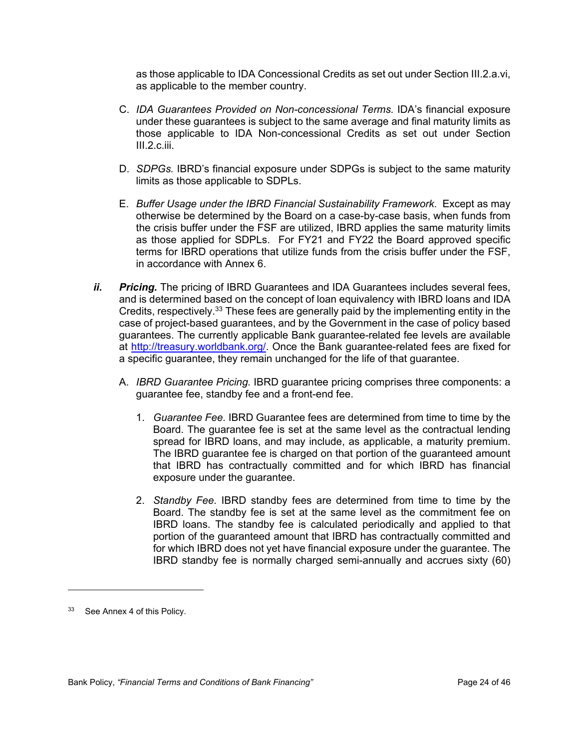as those applicable to IDA Concessional Credits as set out under Section III.2.a.vi, as applicable to the member country.

- C. *IDA Guarantees Provided on Non-concessional Terms.* IDA's financial exposure under these guarantees is subject to the same average and final maturity limits as those applicable to IDA Non-concessional Credits as set out under Section III.2.c.iii.
- D. *SDPGs.* IBRD's financial exposure under SDPGs is subject to the same maturity limits as those applicable to SDPLs.
- E. *Buffer Usage under the IBRD Financial Sustainability Framework*. Except as may otherwise be determined by the Board on a case-by-case basis, when funds from the crisis buffer under the FSF are utilized, IBRD applies the same maturity limits as those applied for SDPLs. For FY21 and FY22 the Board approved specific terms for IBRD operations that utilize funds from the crisis buffer under the FSF, in accordance with Annex 6.
- *ii. Pricing.* The pricing of IBRD Guarantees and IDA Guarantees includes several fees, and is determined based on the concept of loan equivalency with IBRD loans and IDA Credits, respectively.<sup>33</sup> These fees are generally paid by the implementing entity in the case of project-based guarantees, and by the Government in the case of policy based guarantees. The currently applicable Bank guarantee-related fee levels are available at <http://treasury.worldbank.org/>. Once the Bank guarantee-related fees are fixed for a specific guarantee, they remain unchanged for the life of that guarantee.
	- A. *IBRD Guarantee Pricing.* IBRD guarantee pricing comprises three components: a guarantee fee, standby fee and a front-end fee.
		- 1. *Guarantee Fee.* IBRD Guarantee fees are determined from time to time by the Board. The guarantee fee is set at the same level as the contractual lending spread for IBRD loans, and may include, as applicable, a maturity premium. The IBRD guarantee fee is charged on that portion of the guaranteed amount that IBRD has contractually committed and for which IBRD has financial exposure under the guarantee.
		- 2. *Standby Fee.* IBRD standby fees are determined from time to time by the Board. The standby fee is set at the same level as the commitment fee on IBRD loans. The standby fee is calculated periodically and applied to that portion of the guaranteed amount that IBRD has contractually committed and for which IBRD does not yet have financial exposure under the guarantee. The IBRD standby fee is normally charged semi-annually and accrues sixty (60)

<sup>33</sup> See Annex 4 of this Policy.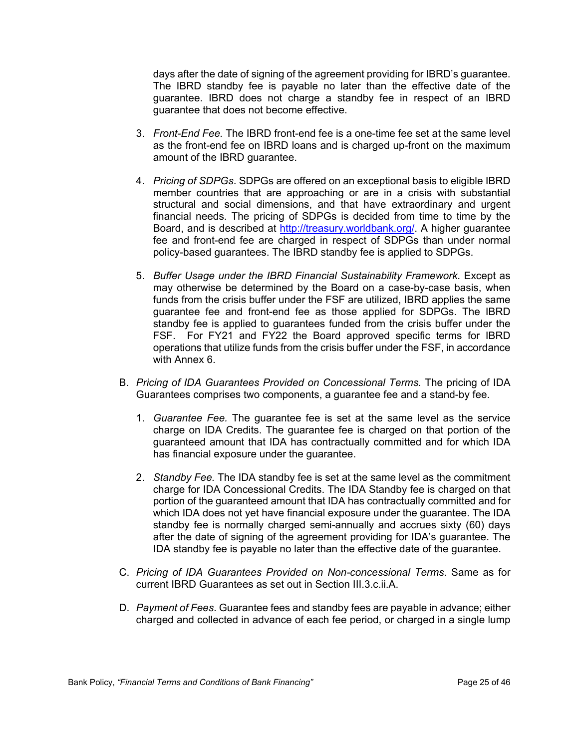days after the date of signing of the agreement providing for IBRD's guarantee. The IBRD standby fee is payable no later than the effective date of the guarantee. IBRD does not charge a standby fee in respect of an IBRD guarantee that does not become effective.

- 3. *Front-End Fee.* The IBRD front-end fee is a one-time fee set at the same level as the front-end fee on IBRD loans and is charged up-front on the maximum amount of the IBRD guarantee.
- 4. *Pricing of SDPGs*. SDPGs are offered on an exceptional basis to eligible IBRD member countries that are approaching or are in a crisis with substantial structural and social dimensions, and that have extraordinary and urgent financial needs. The pricing of SDPGs is decided from time to time by the Board, and is described at <http://treasury.worldbank.org/>. A higher guarantee fee and front-end fee are charged in respect of SDPGs than under normal policy-based guarantees. The IBRD standby fee is applied to SDPGs.
- 5. *Buffer Usage under the IBRD Financial Sustainability Framework*. Except as may otherwise be determined by the Board on a case-by-case basis, when funds from the crisis buffer under the FSF are utilized, IBRD applies the same guarantee fee and front-end fee as those applied for SDPGs. The IBRD standby fee is applied to guarantees funded from the crisis buffer under the FSF. For FY21 and FY22 the Board approved specific terms for IBRD operations that utilize funds from the crisis buffer under the FSF, in accordance with Annex 6.
- B. *Pricing of IDA Guarantees Provided on Concessional Terms.* The pricing of IDA Guarantees comprises two components, a guarantee fee and a stand-by fee.
	- 1. *Guarantee Fee.* The guarantee fee is set at the same level as the service charge on IDA Credits. The guarantee fee is charged on that portion of the guaranteed amount that IDA has contractually committed and for which IDA has financial exposure under the guarantee.
	- 2. *Standby Fee.* The IDA standby fee is set at the same level as the commitment charge for IDA Concessional Credits. The IDA Standby fee is charged on that portion of the guaranteed amount that IDA has contractually committed and for which IDA does not yet have financial exposure under the guarantee. The IDA standby fee is normally charged semi-annually and accrues sixty (60) days after the date of signing of the agreement providing for IDA's guarantee. The IDA standby fee is payable no later than the effective date of the guarantee.
- C. *Pricing of IDA Guarantees Provided on Non-concessional Terms*. Same as for current IBRD Guarantees as set out in Section III.3.c.ii.A.
- D. *Payment of Fees*. Guarantee fees and standby fees are payable in advance; either charged and collected in advance of each fee period, or charged in a single lump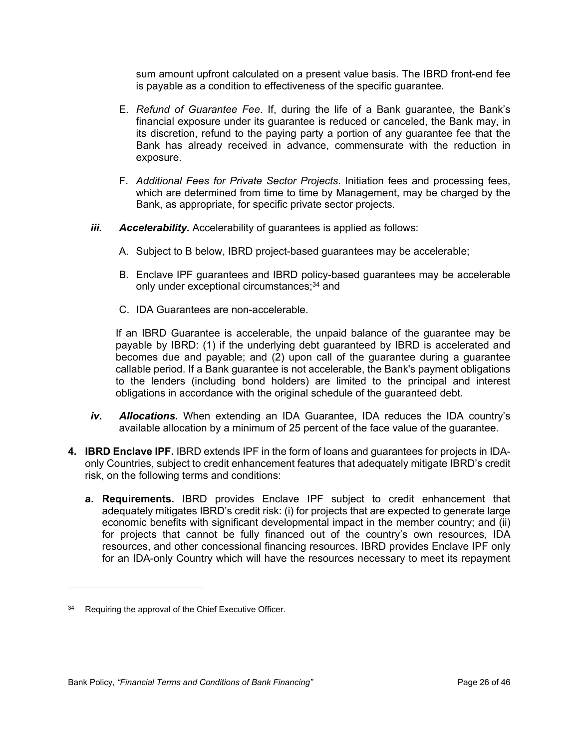sum amount upfront calculated on a present value basis. The IBRD front-end fee is payable as a condition to effectiveness of the specific guarantee.

- E. *Refund of Guarantee Fee*. If, during the life of a Bank guarantee, the Bank's financial exposure under its guarantee is reduced or canceled, the Bank may, in its discretion, refund to the paying party a portion of any guarantee fee that the Bank has already received in advance, commensurate with the reduction in exposure.
- F. *Additional Fees for Private Sector Projects*. Initiation fees and processing fees, which are determined from time to time by Management, may be charged by the Bank, as appropriate, for specific private sector projects.
- *iii. Accelerability.* Accelerability of guarantees is applied as follows:
	- A. Subject to B below, IBRD project-based guarantees may be accelerable;
	- B. Enclave IPF guarantees and IBRD policy-based guarantees may be accelerable only under exceptional circumstances;<sup>34</sup> and
	- C. IDA Guarantees are non-accelerable.

If an IBRD Guarantee is accelerable, the unpaid balance of the guarantee may be payable by IBRD: (1) if the underlying debt guaranteed by IBRD is accelerated and becomes due and payable; and (2) upon call of the guarantee during a guarantee callable period. If a Bank guarantee is not accelerable, the Bank's payment obligations to the lenders (including bond holders) are limited to the principal and interest obligations in accordance with the original schedule of the guaranteed debt.

- *iv. Allocations.* When extending an IDA Guarantee, IDA reduces the IDA country's available allocation by a minimum of 25 percent of the face value of the guarantee.
- **4. IBRD Enclave IPF.** IBRD extends IPF in the form of loans and guarantees for projects in IDAonly Countries, subject to credit enhancement features that adequately mitigate IBRD's credit risk, on the following terms and conditions:
	- **a. Requirements.** IBRD provides Enclave IPF subject to credit enhancement that adequately mitigates IBRD's credit risk: (i) for projects that are expected to generate large economic benefits with significant developmental impact in the member country; and (ii) for projects that cannot be fully financed out of the country's own resources, IDA resources, and other concessional financing resources. IBRD provides Enclave IPF only for an IDA-only Country which will have the resources necessary to meet its repayment

<sup>&</sup>lt;sup>34</sup> Requiring the approval of the Chief Executive Officer.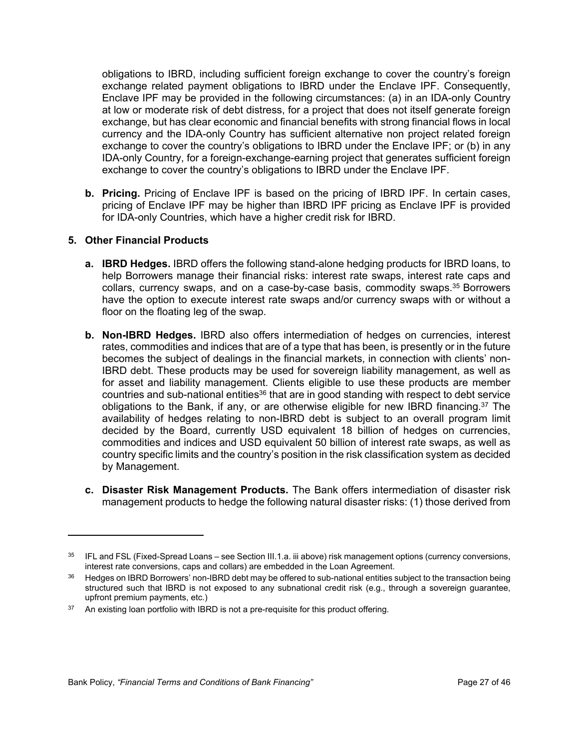obligations to IBRD, including sufficient foreign exchange to cover the country's foreign exchange related payment obligations to IBRD under the Enclave IPF. Consequently, Enclave IPF may be provided in the following circumstances: (a) in an IDA-only Country at low or moderate risk of debt distress, for a project that does not itself generate foreign exchange, but has clear economic and financial benefits with strong financial flows in local currency and the IDA-only Country has sufficient alternative non project related foreign exchange to cover the country's obligations to IBRD under the Enclave IPF; or (b) in any IDA-only Country, for a foreign-exchange-earning project that generates sufficient foreign exchange to cover the country's obligations to IBRD under the Enclave IPF.

**b. Pricing.** Pricing of Enclave IPF is based on the pricing of IBRD IPF. In certain cases, pricing of Enclave IPF may be higher than IBRD IPF pricing as Enclave IPF is provided for IDA-only Countries, which have a higher credit risk for IBRD.

# **5. Other Financial Products**

- **a. IBRD Hedges.** IBRD offers the following stand-alone hedging products for IBRD loans, to help Borrowers manage their financial risks: interest rate swaps, interest rate caps and collars, currency swaps, and on a case-by-case basis, commodity swaps.<sup>35</sup> Borrowers have the option to execute interest rate swaps and/or currency swaps with or without a floor on the floating leg of the swap.
- **b. Non-IBRD Hedges.** IBRD also offers intermediation of hedges on currencies, interest rates, commodities and indices that are of a type that has been, is presently or in the future becomes the subject of dealings in the financial markets, in connection with clients' non-IBRD debt. These products may be used for sovereign liability management, as well as for asset and liability management. Clients eligible to use these products are member countries and sub-national entities<sup>36</sup> that are in good standing with respect to debt service obligations to the Bank, if any, or are otherwise eligible for new IBRD financing.<sup>37</sup> The availability of hedges relating to non-IBRD debt is subject to an overall program limit decided by the Board, currently USD equivalent 18 billion of hedges on currencies, commodities and indices and USD equivalent 50 billion of interest rate swaps, as well as country specific limits and the country's position in the risk classification system as decided by Management.
- **c. Disaster Risk Management Products.** The Bank offers intermediation of disaster risk management products to hedge the following natural disaster risks: (1) those derived from

<sup>35</sup> IFL and FSL (Fixed-Spread Loans – see Section III.1.a. iii above) risk management options (currency conversions, interest rate conversions, caps and collars) are embedded in the Loan Agreement.

<sup>&</sup>lt;sup>36</sup> Hedges on IBRD Borrowers' non-IBRD debt may be offered to sub-national entities subject to the transaction being structured such that IBRD is not exposed to any subnational credit risk (e.g., through a sovereign guarantee, upfront premium payments, etc.)

<sup>&</sup>lt;sup>37</sup> An existing loan portfolio with IBRD is not a pre-requisite for this product offering.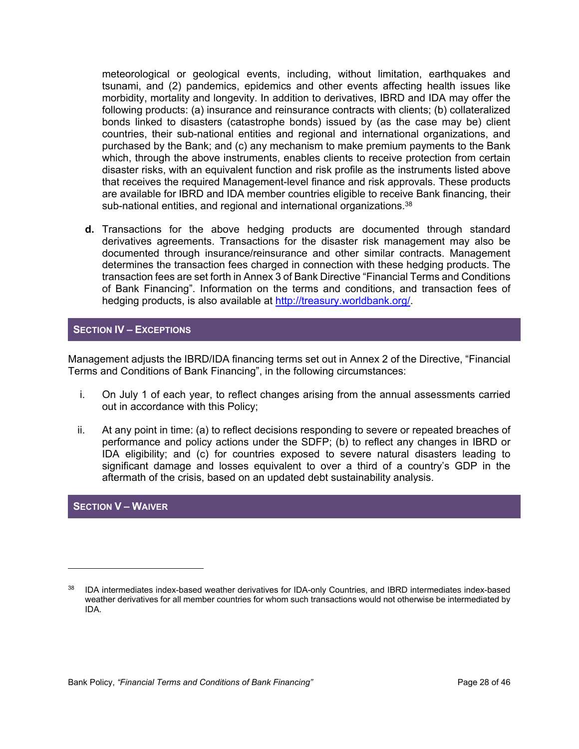meteorological or geological events, including, without limitation, earthquakes and tsunami, and (2) pandemics, epidemics and other events affecting health issues like morbidity, mortality and longevity. In addition to derivatives, IBRD and IDA may offer the following products: (a) insurance and reinsurance contracts with clients; (b) collateralized bonds linked to disasters (catastrophe bonds) issued by (as the case may be) client countries, their sub-national entities and regional and international organizations, and purchased by the Bank; and (c) any mechanism to make premium payments to the Bank which, through the above instruments, enables clients to receive protection from certain disaster risks, with an equivalent function and risk profile as the instruments listed above that receives the required Management-level finance and risk approvals. These products are available for IBRD and IDA member countries eligible to receive Bank financing, their sub-national entities, and regional and international organizations.<sup>38</sup>

**d.** Transactions for the above hedging products are documented through standard derivatives agreements. Transactions for the disaster risk management may also be documented through insurance/reinsurance and other similar contracts. Management determines the transaction fees charged in connection with these hedging products. The transaction fees are set forth in Annex 3 of Bank Directive "Financial Terms and Conditions of Bank Financing". Information on the terms and conditions, and transaction fees of hedging products, is also available at [http://treasury.worldbank.org/.](http://treasury.worldbank.org/)

# **SECTION IV – EXCEPTIONS**

Management adjusts the IBRD/IDA financing terms set out in Annex 2 of the Directive, "Financial Terms and Conditions of Bank Financing", in the following circumstances:

- i. On July 1 of each year, to reflect changes arising from the annual assessments carried out in accordance with this Policy;
- ii. At any point in time: (a) to reflect decisions responding to severe or repeated breaches of performance and policy actions under the SDFP; (b) to reflect any changes in IBRD or IDA eligibility; and (c) for countries exposed to severe natural disasters leading to significant damage and losses equivalent to over a third of a country's GDP in the aftermath of the crisis, based on an updated debt sustainability analysis.

# **SECTION V – WAIVER**

<sup>38</sup> IDA intermediates index-based weather derivatives for IDA-only Countries, and IBRD intermediates index-based weather derivatives for all member countries for whom such transactions would not otherwise be intermediated by IDA.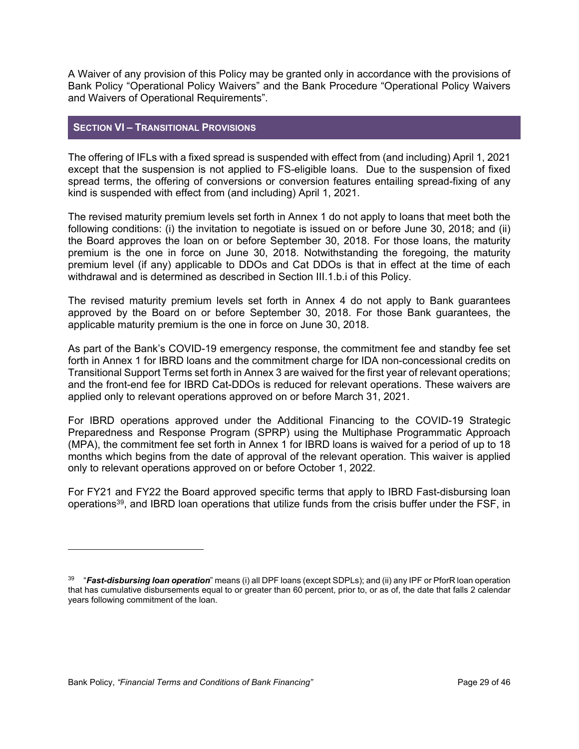A Waiver of any provision of this Policy may be granted only in accordance with the provisions of Bank Policy "Operational Policy Waivers" and the Bank Procedure "Operational Policy Waivers and Waivers of Operational Requirements".

# **SECTION VI – TRANSITIONAL PROVISIONS**

The offering of IFLs with a fixed spread is suspended with effect from (and including) April 1, 2021 except that the suspension is not applied to FS-eligible loans. Due to the suspension of fixed spread terms, the offering of conversions or conversion features entailing spread-fixing of any kind is suspended with effect from (and including) April 1, 2021.

The revised maturity premium levels set forth in Annex 1 do not apply to loans that meet both the following conditions: (i) the invitation to negotiate is issued on or before June 30, 2018; and (ii) the Board approves the loan on or before September 30, 2018. For those loans, the maturity premium is the one in force on June 30, 2018. Notwithstanding the foregoing, the maturity premium level (if any) applicable to DDOs and Cat DDOs is that in effect at the time of each withdrawal and is determined as described in Section III.1.b.i of this Policy.

The revised maturity premium levels set forth in Annex 4 do not apply to Bank guarantees approved by the Board on or before September 30, 2018. For those Bank guarantees, the applicable maturity premium is the one in force on June 30, 2018.

As part of the Bank's COVID-19 emergency response, the commitment fee and standby fee set forth in Annex 1 for IBRD loans and the commitment charge for IDA non-concessional credits on Transitional Support Terms set forth in Annex 3 are waived for the first year of relevant operations; and the front-end fee for IBRD Cat-DDOs is reduced for relevant operations. These waivers are applied only to relevant operations approved on or before March 31, 2021.

For IBRD operations approved under the Additional Financing to the COVID-19 Strategic Preparedness and Response Program (SPRP) using the Multiphase Programmatic Approach (MPA), the commitment fee set forth in Annex 1 for IBRD loans is waived for a period of up to 18 months which begins from the date of approval of the relevant operation. This waiver is applied only to relevant operations approved on or before October 1, 2022.

For FY21 and FY22 the Board approved specific terms that apply to IBRD Fast-disbursing loan operations<sup>39</sup>, and IBRD loan operations that utilize funds from the crisis buffer under the FSF, in

<sup>39</sup> "*Fast-disbursing loan operation*" means (i) all DPF loans (except SDPLs); and (ii) any IPF or PforR loan operation that has cumulative disbursements equal to or greater than 60 percent, prior to, or as of, the date that falls 2 calendar years following commitment of the loan.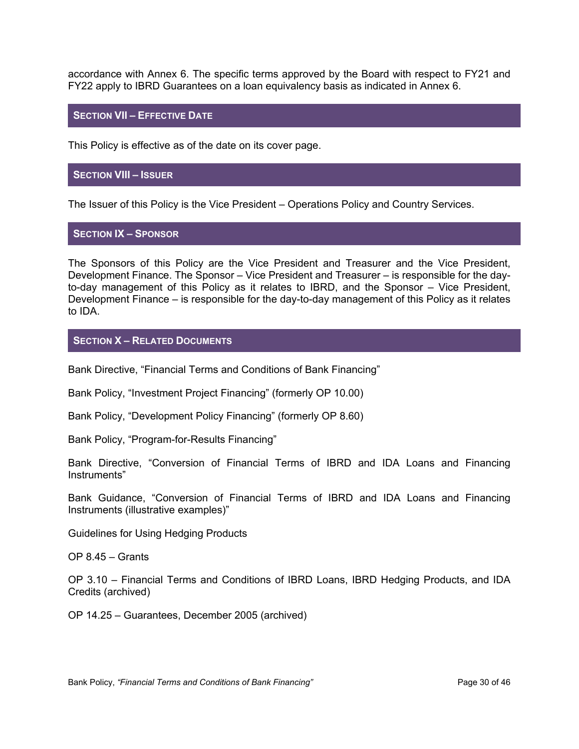accordance with Annex 6. The specific terms approved by the Board with respect to FY21 and FY22 apply to IBRD Guarantees on a loan equivalency basis as indicated in Annex 6.

#### **SECTION VII – EFFECTIVE DATE**

This Policy is effective as of the date on its cover page.

#### **SECTION VIII – ISSUER**

The Issuer of this Policy is the Vice President – Operations Policy and Country Services.

#### **SECTION IX – SPONSOR**

The Sponsors of this Policy are the Vice President and Treasurer and the Vice President, Development Finance. The Sponsor – Vice President and Treasurer – is responsible for the dayto-day management of this Policy as it relates to IBRD, and the Sponsor – Vice President, Development Finance – is responsible for the day-to-day management of this Policy as it relates to IDA.

#### **SECTION X – RELATED DOCUMENTS**

Bank Directive, "Financial Terms and Conditions of Bank Financing"

Bank Policy, "Investment Project Financing" (formerly OP 10.00)

Bank Policy, "Development Policy Financing" (formerly OP 8.60)

Bank Policy, "Program-for-Results Financing"

Bank Directive, "Conversion of Financial Terms of IBRD and IDA Loans and Financing Instruments"

Bank Guidance, "Conversion of Financial Terms of IBRD and IDA Loans and Financing Instruments (illustrative examples)"

Guidelines for Using Hedging Products

OP 8.45 – Grants

OP 3.10 – Financial Terms and Conditions of IBRD Loans, IBRD Hedging Products, and IDA Credits (archived)

OP 14.25 – Guarantees, December 2005 (archived)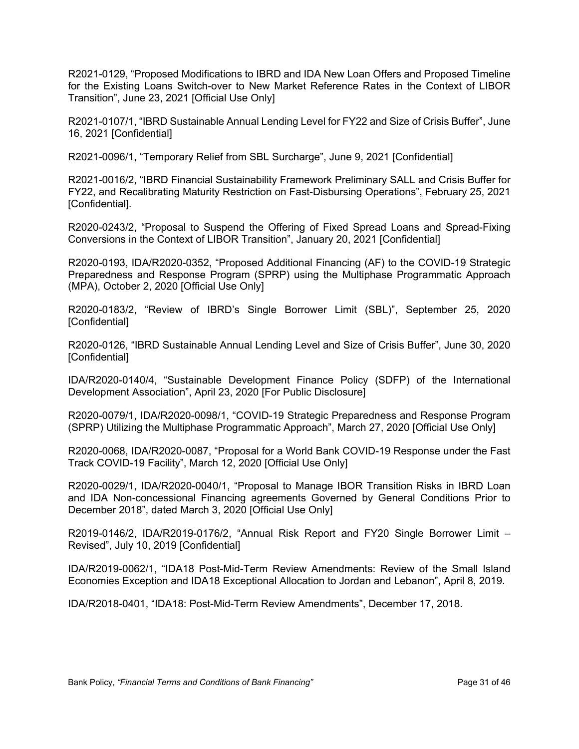R2021-0129, "Proposed Modifications to IBRD and IDA New Loan Offers and Proposed Timeline for the Existing Loans Switch-over to New Market Reference Rates in the Context of LIBOR Transition", June 23, 2021 [Official Use Only]

R2021-0107/1, "IBRD Sustainable Annual Lending Level for FY22 and Size of Crisis Buffer", June 16, 2021 [Confidential]

R2021-0096/1, "Temporary Relief from SBL Surcharge", June 9, 2021 [Confidential]

R2021-0016/2, "IBRD Financial Sustainability Framework Preliminary SALL and Crisis Buffer for FY22, and Recalibrating Maturity Restriction on Fast-Disbursing Operations", February 25, 2021 [Confidential].

R2020-0243/2, "Proposal to Suspend the Offering of Fixed Spread Loans and Spread-Fixing Conversions in the Context of LIBOR Transition", January 20, 2021 [Confidential]

R2020-0193, IDA/R2020-0352, "Proposed Additional Financing (AF) to the COVID-19 Strategic Preparedness and Response Program (SPRP) using the Multiphase Programmatic Approach (MPA), October 2, 2020 [Official Use Only]

R2020-0183/2, "Review of IBRD's Single Borrower Limit (SBL)", September 25, 2020 [Confidential]

R2020-0126, "IBRD Sustainable Annual Lending Level and Size of Crisis Buffer", June 30, 2020 [Confidential]

IDA/R2020-0140/4, "Sustainable Development Finance Policy (SDFP) of the International Development Association", April 23, 2020 [For Public Disclosure]

R2020-0079/1, IDA/R2020-0098/1, "COVID-19 Strategic Preparedness and Response Program (SPRP) Utilizing the Multiphase Programmatic Approach", March 27, 2020 [Official Use Only]

R2020-0068, IDA/R2020-0087, "Proposal for a World Bank COVID-19 Response under the Fast Track COVID-19 Facility", March 12, 2020 [Official Use Only]

R2020-0029/1, IDA/R2020-0040/1, "Proposal to Manage IBOR Transition Risks in IBRD Loan and IDA Non-concessional Financing agreements Governed by General Conditions Prior to December 2018", dated March 3, 2020 [Official Use Only]

R2019-0146/2, IDA/R2019-0176/2, "Annual Risk Report and FY20 Single Borrower Limit – Revised", July 10, 2019 [Confidential]

IDA/R2019-0062/1, "IDA18 Post-Mid-Term Review Amendments: Review of the Small Island Economies Exception and IDA18 Exceptional Allocation to Jordan and Lebanon", April 8, 2019.

IDA/R2018-0401, "IDA18: Post-Mid-Term Review Amendments", December 17, 2018.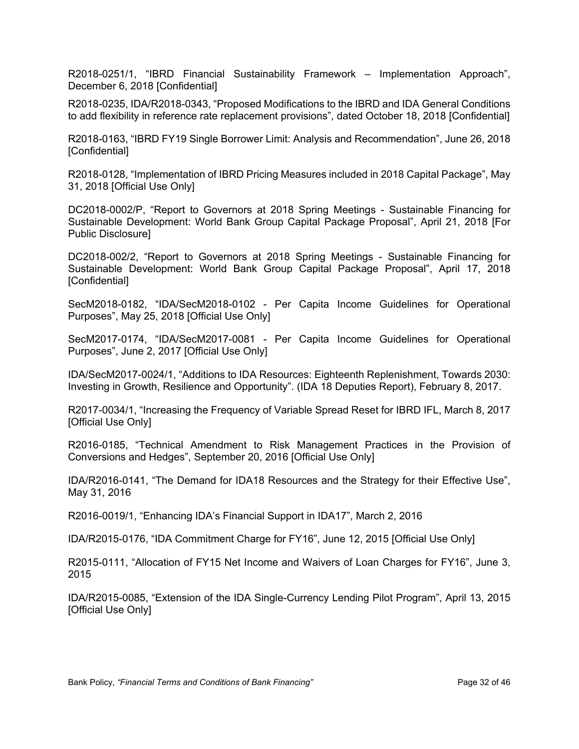R2018-0251/1, "IBRD Financial Sustainability Framework – Implementation Approach", December 6, 2018 [Confidential]

R2018-0235, IDA/R2018-0343, "Proposed Modifications to the IBRD and IDA General Conditions to add flexibility in reference rate replacement provisions", dated October 18, 2018 [Confidential]

R2018-0163, "IBRD FY19 Single Borrower Limit: Analysis and Recommendation", June 26, 2018 [Confidential]

R2018-0128, "Implementation of IBRD Pricing Measures included in 2018 Capital Package", May 31, 2018 [Official Use Only]

DC2018-0002/P, "Report to Governors at 2018 Spring Meetings - Sustainable Financing for Sustainable Development: World Bank Group Capital Package Proposal", April 21, 2018 [For Public Disclosure]

DC2018-002/2, "Report to Governors at 2018 Spring Meetings - Sustainable Financing for Sustainable Development: World Bank Group Capital Package Proposal", April 17, 2018 [Confidential]

SecM2018-0182, "IDA/SecM2018-0102 - Per Capita Income Guidelines for Operational Purposes", May 25, 2018 [Official Use Only]

SecM2017-0174, "IDA/SecM2017-0081 - Per Capita Income Guidelines for Operational Purposes", June 2, 2017 [Official Use Only]

IDA/SecM2017-0024/1, "Additions to IDA Resources: Eighteenth Replenishment, Towards 2030: Investing in Growth, Resilience and Opportunity". (IDA 18 Deputies Report), February 8, 2017.

R2017-0034/1, "Increasing the Frequency of Variable Spread Reset for IBRD IFL, March 8, 2017 [Official Use Only]

R2016-0185, "Technical Amendment to Risk Management Practices in the Provision of Conversions and Hedges", September 20, 2016 [Official Use Only]

IDA/R2016-0141, "The Demand for IDA18 Resources and the Strategy for their Effective Use", May 31, 2016

R2016-0019/1, "Enhancing IDA's Financial Support in IDA17", March 2, 2016

IDA/R2015-0176, "IDA Commitment Charge for FY16", June 12, 2015 [Official Use Only]

R2015-0111, "Allocation of FY15 Net Income and Waivers of Loan Charges for FY16", June 3, 2015

IDA/R2015-0085, "Extension of the IDA Single-Currency Lending Pilot Program", April 13, 2015 [Official Use Only]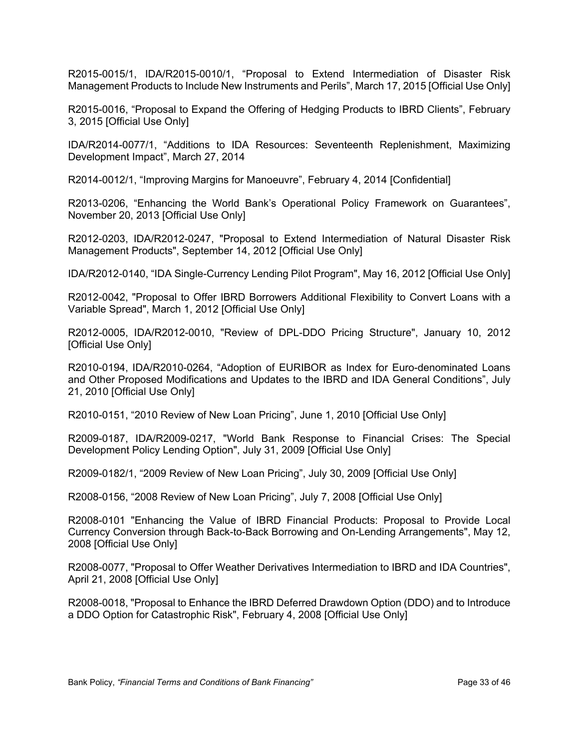R2015-0015/1, IDA/R2015-0010/1, "Proposal to Extend Intermediation of Disaster Risk Management Products to Include New Instruments and Perils", March 17, 2015 [Official Use Only]

R2015-0016, "Proposal to Expand the Offering of Hedging Products to IBRD Clients", February 3, 2015 [Official Use Only]

IDA/R2014-0077/1, "Additions to IDA Resources: Seventeenth Replenishment, Maximizing Development Impact", March 27, 2014

R2014-0012/1, "Improving Margins for Manoeuvre", February 4, 2014 [Confidential]

R2013-0206, "Enhancing the World Bank's Operational Policy Framework on Guarantees", November 20, 2013 [Official Use Only]

R2012-0203, IDA/R2012-0247, "Proposal to Extend Intermediation of Natural Disaster Risk Management Products", September 14, 2012 [Official Use Only]

IDA/R2012-0140, "IDA Single-Currency Lending Pilot Program", May 16, 2012 [Official Use Only]

R2012-0042, "Proposal to Offer IBRD Borrowers Additional Flexibility to Convert Loans with a Variable Spread", March 1, 2012 [Official Use Only]

R2012-0005, IDA/R2012-0010, "Review of DPL-DDO Pricing Structure", January 10, 2012 [Official Use Only]

R2010-0194, IDA/R2010-0264, "Adoption of EURIBOR as Index for Euro-denominated Loans and Other Proposed Modifications and Updates to the IBRD and IDA General Conditions", July 21, 2010 [Official Use Only]

R2010-0151, "2010 Review of New Loan Pricing", June 1, 2010 [Official Use Only]

R2009-0187, IDA/R2009-0217, "World Bank Response to Financial Crises: The Special Development Policy Lending Option", July 31, 2009 [Official Use Only]

R2009-0182/1, "2009 Review of New Loan Pricing", July 30, 2009 [Official Use Only]

R2008-0156, "2008 Review of New Loan Pricing", July 7, 2008 [Official Use Only]

R2008-0101 "Enhancing the Value of IBRD Financial Products: Proposal to Provide Local Currency Conversion through Back-to-Back Borrowing and On-Lending Arrangements", May 12, 2008 [Official Use Only]

R2008-0077, "Proposal to Offer Weather Derivatives Intermediation to IBRD and IDA Countries", April 21, 2008 [Official Use Only]

R2008-0018, "Proposal to Enhance the IBRD Deferred Drawdown Option (DDO) and to Introduce a DDO Option for Catastrophic Risk", February 4, 2008 [Official Use Only]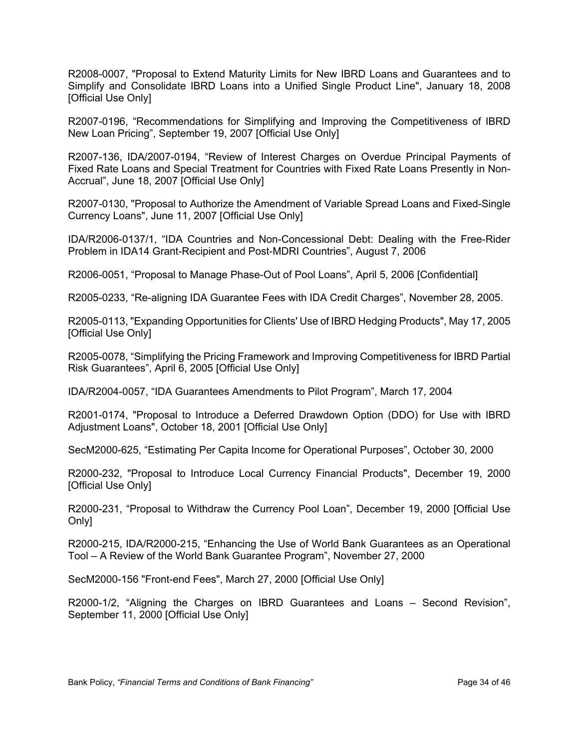R2008-0007, "Proposal to Extend Maturity Limits for New IBRD Loans and Guarantees and to Simplify and Consolidate IBRD Loans into a Unified Single Product Line", January 18, 2008 [Official Use Only]

R2007-0196, "Recommendations for Simplifying and Improving the Competitiveness of IBRD New Loan Pricing", September 19, 2007 [Official Use Only]

R2007-136, IDA/2007-0194, "Review of Interest Charges on Overdue Principal Payments of Fixed Rate Loans and Special Treatment for Countries with Fixed Rate Loans Presently in Non-Accrual", June 18, 2007 [Official Use Only]

R2007-0130, "Proposal to Authorize the Amendment of Variable Spread Loans and Fixed-Single Currency Loans", June 11, 2007 [Official Use Only]

IDA/R2006-0137/1, "IDA Countries and Non-Concessional Debt: Dealing with the Free-Rider Problem in IDA14 Grant-Recipient and Post-MDRI Countries", August 7, 2006

R2006-0051, "Proposal to Manage Phase-Out of Pool Loans", April 5, 2006 [Confidential]

R2005-0233, "Re-aligning IDA Guarantee Fees with IDA Credit Charges", November 28, 2005.

R2005-0113, "Expanding Opportunities for Clients' Use of IBRD Hedging Products", May 17, 2005 [Official Use Only]

R2005-0078, "Simplifying the Pricing Framework and Improving Competitiveness for IBRD Partial Risk Guarantees", April 6, 2005 [Official Use Only]

IDA/R2004-0057, "IDA Guarantees Amendments to Pilot Program", March 17, 2004

R2001-0174, "Proposal to Introduce a Deferred Drawdown Option (DDO) for Use with IBRD Adjustment Loans", October 18, 2001 [Official Use Only]

SecM2000-625, "Estimating Per Capita Income for Operational Purposes", October 30, 2000

R2000-232, "Proposal to Introduce Local Currency Financial Products", December 19, 2000 [Official Use Only]

R2000-231, "Proposal to Withdraw the Currency Pool Loan", December 19, 2000 [Official Use Only]

R2000-215, IDA/R2000-215, "Enhancing the Use of World Bank Guarantees as an Operational Tool – A Review of the World Bank Guarantee Program", November 27, 2000

SecM2000-156 "Front-end Fees", March 27, 2000 [Official Use Only]

R2000-1/2, "Aligning the Charges on IBRD Guarantees and Loans – Second Revision", September 11, 2000 [Official Use Only]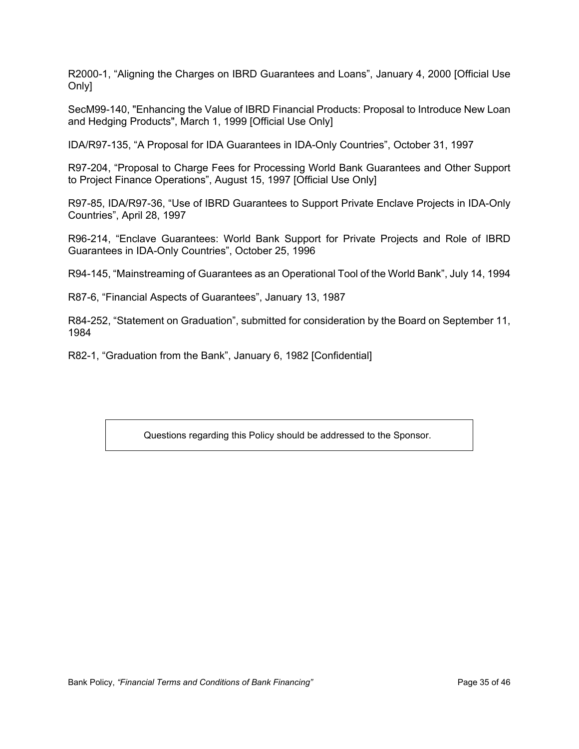R2000-1, "Aligning the Charges on IBRD Guarantees and Loans", January 4, 2000 [Official Use Only]

SecM99-140, "Enhancing the Value of IBRD Financial Products: Proposal to Introduce New Loan and Hedging Products", March 1, 1999 [Official Use Only]

IDA/R97-135, "A Proposal for IDA Guarantees in IDA-Only Countries", October 31, 1997

R97-204, "Proposal to Charge Fees for Processing World Bank Guarantees and Other Support to Project Finance Operations", August 15, 1997 [Official Use Only]

R97-85, IDA/R97-36, "Use of IBRD Guarantees to Support Private Enclave Projects in IDA-Only Countries", April 28, 1997

R96-214, "Enclave Guarantees: World Bank Support for Private Projects and Role of IBRD Guarantees in IDA-Only Countries", October 25, 1996

R94-145, "Mainstreaming of Guarantees as an Operational Tool of the World Bank", July 14, 1994

R87-6, "Financial Aspects of Guarantees", January 13, 1987

R84-252, "Statement on Graduation", submitted for consideration by the Board on September 11, 1984

R82-1, "Graduation from the Bank", January 6, 1982 [Confidential]

Questions regarding this Policy should be addressed to the Sponsor.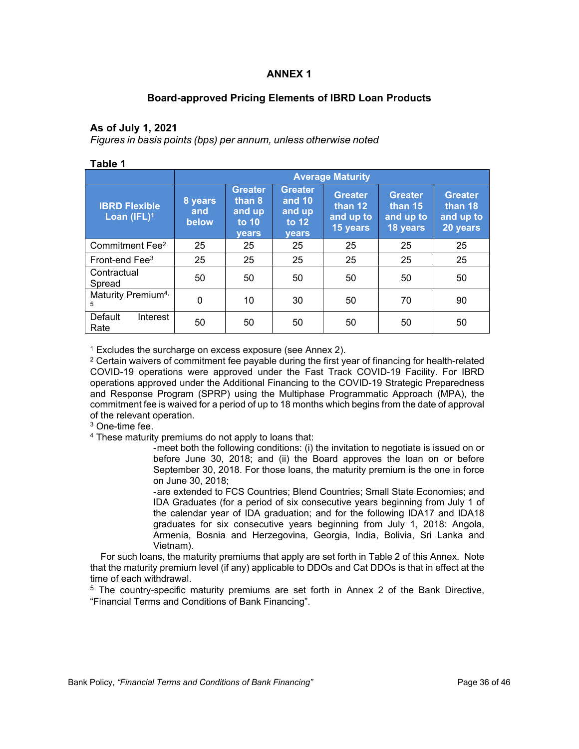#### **ANNEX 1**

# **Board-approved Pricing Elements of IBRD Loan Products**

#### **As of July 1, 2021**

*Figures in basis points (bps) per annum, unless otherwise noted*

|                                        | <b>Average Maturity</b> |                                                               |                                                             |                                                    |                                                    |                                                      |  |  |
|----------------------------------------|-------------------------|---------------------------------------------------------------|-------------------------------------------------------------|----------------------------------------------------|----------------------------------------------------|------------------------------------------------------|--|--|
| <b>IBRD Flexible</b><br>Loan $(IFL)^1$ | 8 years<br>and<br>below | <b>Greater</b><br>than 8<br>and up<br>to $10$<br><b>vears</b> | <b>Greater</b><br>and 10<br>and up<br>to 12<br><b>vears</b> | <b>Greater</b><br>than 12<br>and up to<br>15 years | <b>Greater</b><br>than 15<br>and up to<br>18 years | <b>Greater</b><br>than $18$<br>and up to<br>20 years |  |  |
| Commitment Fee <sup>2</sup>            | 25                      | 25                                                            | 25                                                          | 25                                                 | 25                                                 | 25                                                   |  |  |
| Front-end $\text{Fe}^{3}$              | 25                      | 25                                                            | 25                                                          | 25                                                 | 25                                                 | 25                                                   |  |  |
| Contractual<br>Spread                  | 50                      | 50                                                            | 50                                                          | 50                                                 | 50                                                 | 50                                                   |  |  |
| Maturity Premium <sup>4,</sup><br>5    | 0                       | 10                                                            | 30                                                          | 50                                                 | 70                                                 | 90                                                   |  |  |
| Default<br>Interest<br>Rate            | 50                      | 50                                                            | 50                                                          | 50                                                 | 50                                                 | 50                                                   |  |  |

<sup>1</sup> Excludes the surcharge on excess exposure (see Annex 2).

 $\rm ^2$  Certain waivers of commitment fee payable during the first year of financing for health-related COVID-19 operations were approved under the Fast Track COVID-19 Facility. For IBRD operations approved under the Additional Financing to the COVID-19 Strategic Preparedness and Response Program (SPRP) using the Multiphase Programmatic Approach (MPA), the commitment fee is waived for a period of up to 18 months which begins from the date of approval of the relevant operation.

3 One-time fee.

4 These maturity premiums do not apply to loans that:

-meet both the following conditions: (i) the invitation to negotiate is issued on or before June 30, 2018; and (ii) the Board approves the loan on or before September 30, 2018. For those loans, the maturity premium is the one in force on June 30, 2018;

-are extended to FCS Countries; Blend Countries; Small State Economies; and IDA Graduates (for a period of six consecutive years beginning from July 1 of the calendar year of IDA graduation; and for the following IDA17 and IDA18 graduates for six consecutive years beginning from July 1, 2018: Angola, Armenia, Bosnia and Herzegovina, Georgia, India, Bolivia, Sri Lanka and Vietnam).

 For such loans, the maturity premiums that apply are set forth in Table 2 of this Annex. Note that the maturity premium level (if any) applicable to DDOs and Cat DDOs is that in effect at the time of each withdrawal.

<sup>5</sup> The country-specific maturity premiums are set forth in Annex 2 of the Bank Directive, "Financial Terms and Conditions of Bank Financing".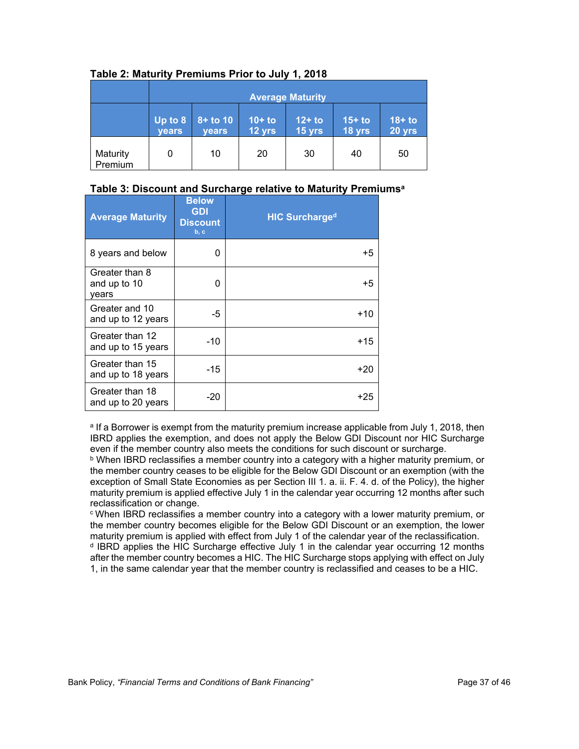|                     | <b>Average Maturity</b>                                                                                                       |    |    |    |    |                    |  |
|---------------------|-------------------------------------------------------------------------------------------------------------------------------|----|----|----|----|--------------------|--|
|                     | $\overline{Up}$ to 8<br>$10+$ to<br>$12+$ to<br>$8+$ to 10<br>$15+$ to<br>18 yrs<br>12 yrs<br>15 yrs<br><b>years</b><br>years |    |    |    |    | $18+$ to<br>20 yrs |  |
| Maturity<br>Premium | 0                                                                                                                             | 10 | 20 | 30 | 40 | 50                 |  |

#### **Table 2: Maturity Premiums Prior to July 1, 2018**

#### **Table 3: Discount and Surcharge relative to Maturity Premiums<sup>a</sup>**

| <b>Average Maturity</b>                 | <b>Below</b><br><b>GDI</b><br><b>Discount</b><br>b, c | <b>HIC Surcharged</b> |
|-----------------------------------------|-------------------------------------------------------|-----------------------|
| 8 years and below                       | 0                                                     | +5                    |
| Greater than 8<br>and up to 10<br>vears | 0                                                     | +5                    |
| Greater and 10<br>and up to 12 years    | -5                                                    | $+10$                 |
| Greater than 12<br>and up to 15 years   | $-10$                                                 | $+15$                 |
| Greater than 15<br>and up to 18 years   | $-15$                                                 | +20                   |
| Greater than 18<br>and up to 20 years   | $-20$                                                 | +25                   |

<sup>a</sup> If a Borrower is exempt from the maturity premium increase applicable from July 1, 2018, then IBRD applies the exemption, and does not apply the Below GDI Discount nor HIC Surcharge even if the member country also meets the conditions for such discount or surcharge.

 $^{\rm b}$  When IBRD reclassifies a member country into a category with a higher maturity premium, or the member country ceases to be eligible for the Below GDI Discount or an exemption (with the exception of Small State Economies as per Section III 1. a. ii. F. 4. d. of the Policy), the higher maturity premium is applied effective July 1 in the calendar year occurring 12 months after such reclassification or change.

<sup>c</sup>When IBRD reclassifies a member country into a category with a lower maturity premium, or the member country becomes eligible for the Below GDI Discount or an exemption, the lower maturity premium is applied with effect from July 1 of the calendar year of the reclassification. <sup>d</sup> IBRD applies the HIC Surcharge effective July 1 in the calendar year occurring 12 months after the member country becomes a HIC. The HIC Surcharge stops applying with effect on July 1, in the same calendar year that the member country is reclassified and ceases to be a HIC.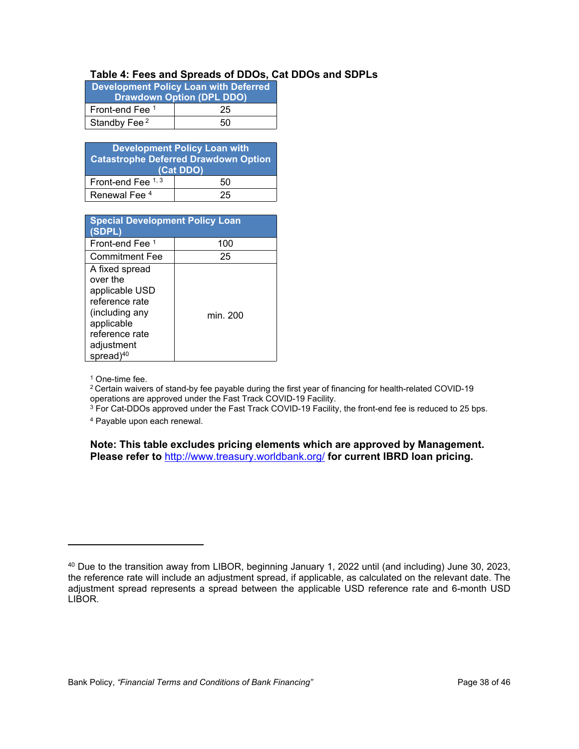#### **Table 4: Fees and Spreads of DDOs, Cat DDOs and SDPLs**

| <b>Development Policy Loan with Deferred</b><br><b>Drawdown Option (DPL DDO)</b> |    |  |  |  |  |  |
|----------------------------------------------------------------------------------|----|--|--|--|--|--|
| Front-end Fee 1                                                                  | 25 |  |  |  |  |  |
| Standby Fee <sup>2</sup>                                                         | 50 |  |  |  |  |  |

| <b>Development Policy Loan with</b><br><b>Catastrophe Deferred Drawdown Option</b><br>(Cat DDO) |    |  |  |  |
|-------------------------------------------------------------------------------------------------|----|--|--|--|
| Front-end Fee 1, 3<br>50                                                                        |    |  |  |  |
| Renewal Fee <sup>4</sup>                                                                        | 25 |  |  |  |

| <b>Special Development Policy Loan</b><br>(SDPL)                                                                                               |          |
|------------------------------------------------------------------------------------------------------------------------------------------------|----------|
| Front-end Fee 1                                                                                                                                | 100      |
| <b>Commitment Fee</b>                                                                                                                          | 25       |
| A fixed spread<br>over the<br>applicable USD<br>reference rate<br>(including any<br>applicable<br>reference rate<br>adjustment<br>spread) $40$ | min. 200 |

1 One-time fee.

<sup>2</sup> Certain waivers of stand-by fee payable during the first year of financing for health-related COVID-19 operations are approved under the Fast Track COVID-19 Facility.

 $^3$  For Cat-DDOs approved under the Fast Track COVID-19 Facility, the front-end fee is reduced to 25 bps.

4 Payable upon each renewal.

**Note: This table excludes pricing elements which are approved by Management. Please refer to** <http://www.treasury.worldbank.org/> **for current IBRD loan pricing.** 

<sup>40</sup> Due to the transition away from LIBOR, beginning January 1, 2022 until (and including) June 30, 2023, the reference rate will include an adjustment spread, if applicable, as calculated on the relevant date. The adjustment spread represents a spread between the applicable USD reference rate and 6-month USD LIBOR.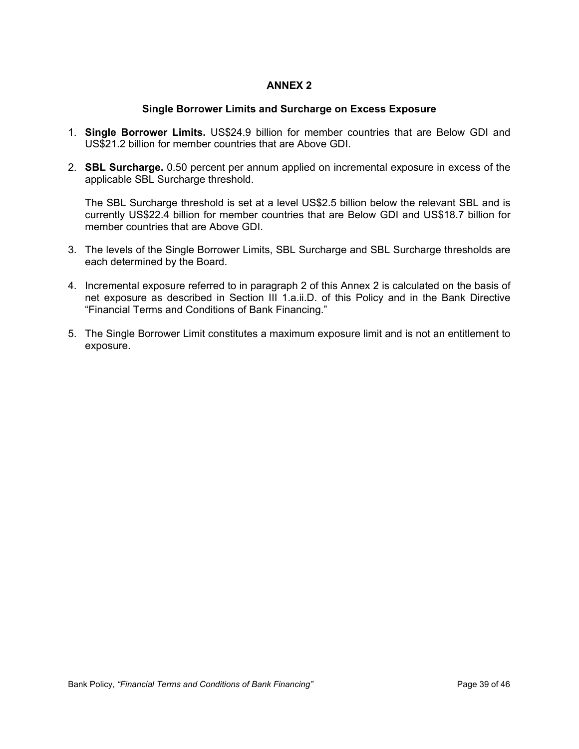# **ANNEX 2**

# **Single Borrower Limits and Surcharge on Excess Exposure**

- 1. **Single Borrower Limits.** US\$24.9 billion for member countries that are Below GDI and US\$21.2 billion for member countries that are Above GDI.
- 2. **SBL Surcharge.** 0.50 percent per annum applied on incremental exposure in excess of the applicable SBL Surcharge threshold.

The SBL Surcharge threshold is set at a level US\$2.5 billion below the relevant SBL and is currently US\$22.4 billion for member countries that are Below GDI and US\$18.7 billion for member countries that are Above GDI.

- 3. The levels of the Single Borrower Limits, SBL Surcharge and SBL Surcharge thresholds are each determined by the Board.
- 4. Incremental exposure referred to in paragraph 2 of this Annex 2 is calculated on the basis of net exposure as described in Section III 1.a.ii.D. of this Policy and in the Bank Directive "Financial Terms and Conditions of Bank Financing."
- 5. The Single Borrower Limit constitutes a maximum exposure limit and is not an entitlement to exposure.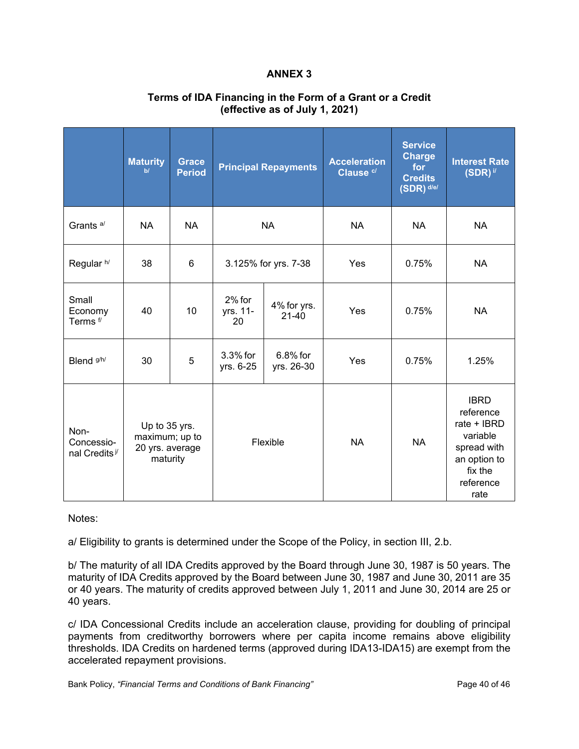# **ANNEX 3**

|                                                 | <b>Maturity</b><br>b/                                          | <b>Grace</b><br><b>Period</b> | <b>Principal Repayments</b> |                          | <b>Acceleration</b><br>Clause <sup>c/</sup> | <b>Service</b><br><b>Charge</b><br>for<br><b>Credits</b><br>$(SDR)$ d/e/ | <b>Interest Rate</b><br>$(SDR)$ i/                                                                                 |
|-------------------------------------------------|----------------------------------------------------------------|-------------------------------|-----------------------------|--------------------------|---------------------------------------------|--------------------------------------------------------------------------|--------------------------------------------------------------------------------------------------------------------|
| Grants <sup>a/</sup>                            | <b>NA</b>                                                      | <b>NA</b>                     | <b>NA</b>                   |                          | <b>NA</b>                                   | <b>NA</b>                                                                | <b>NA</b>                                                                                                          |
| Regular h/                                      | 38                                                             | 6                             | 3.125% for yrs. 7-38        |                          | Yes                                         | 0.75%                                                                    | <b>NA</b>                                                                                                          |
| Small<br>Economy<br>Terms <sup>f/</sup>         | 40                                                             | 10                            | 2% for<br>yrs. 11-<br>20    | 4% for yrs.<br>$21 - 40$ | Yes                                         | 0.75%                                                                    | <b>NA</b>                                                                                                          |
| Blend <sup>g/h/</sup>                           | 30                                                             | 5                             | 3.3% for<br>yrs. 6-25       | 6.8% for<br>yrs. 26-30   | Yes                                         | 0.75%                                                                    | 1.25%                                                                                                              |
| Non-<br>Concessio-<br>nal Credits <sup>j/</sup> | Up to 35 yrs.<br>maximum; up to<br>20 yrs. average<br>maturity |                               | Flexible                    |                          | <b>NA</b>                                   | <b>NA</b>                                                                | <b>IBRD</b><br>reference<br>rate + IBRD<br>variable<br>spread with<br>an option to<br>fix the<br>reference<br>rate |

# **Terms of IDA Financing in the Form of a Grant or a Credit (effective as of July 1, 2021)**

Notes:

a/ Eligibility to grants is determined under the Scope of the Policy, in section III, 2.b.

b/ The maturity of all IDA Credits approved by the Board through June 30, 1987 is 50 years. The maturity of IDA Credits approved by the Board between June 30, 1987 and June 30, 2011 are 35 or 40 years. The maturity of credits approved between July 1, 2011 and June 30, 2014 are 25 or 40 years.

c/ IDA Concessional Credits include an acceleration clause, providing for doubling of principal payments from creditworthy borrowers where per capita income remains above eligibility thresholds. IDA Credits on hardened terms (approved during IDA13-IDA15) are exempt from the accelerated repayment provisions.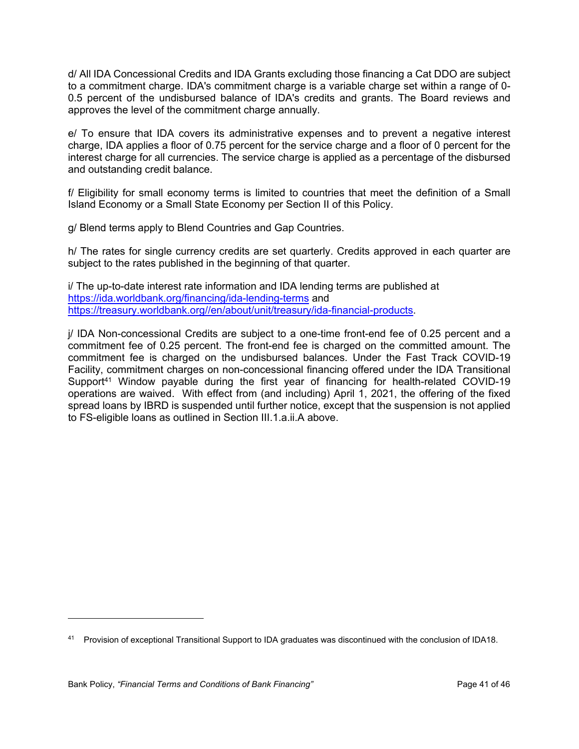d/ All IDA Concessional Credits and IDA Grants excluding those financing a Cat DDO are subject to a commitment charge. IDA's commitment charge is a variable charge set within a range of 0- 0.5 percent of the undisbursed balance of IDA's credits and grants. The Board reviews and approves the level of the commitment charge annually.

e/ To ensure that IDA covers its administrative expenses and to prevent a negative interest charge, IDA applies a floor of 0.75 percent for the service charge and a floor of 0 percent for the interest charge for all currencies. The service charge is applied as a percentage of the disbursed and outstanding credit balance.

f/ Eligibility for small economy terms is limited to countries that meet the definition of a Small Island Economy or a Small State Economy per Section II of this Policy.

g/ Blend terms apply to Blend Countries and Gap Countries.

h/ The rates for single currency credits are set quarterly. Credits approved in each quarter are subject to the rates published in the beginning of that quarter.

i/ The up-to-date interest rate information and IDA lending terms are published at <https://ida.worldbank.org/financing/ida-lending-terms>and [https://treasury.worldbank.org//en/about/unit/treasury/ida-financial-products](https://treasury.worldbank.org/en/about/unit/treasury/ida-financial-products).

j/ IDA Non-concessional Credits are subject to a one-time front-end fee of 0.25 percent and a commitment fee of 0.25 percent. The front-end fee is charged on the committed amount. The commitment fee is charged on the undisbursed balances. Under the Fast Track COVID-19 Facility, commitment charges on non-concessional financing offered under the IDA Transitional Support<sup>41</sup> Window payable during the first year of financing for health-related COVID-19 operations are waived. With effect from (and including) April 1, 2021, the offering of the fixed spread loans by IBRD is suspended until further notice, except that the suspension is not applied to FS-eligible loans as outlined in Section III.1.a.ii.A above.

<sup>41</sup> Provision of exceptional Transitional Support to IDA graduates was discontinued with the conclusion of IDA18.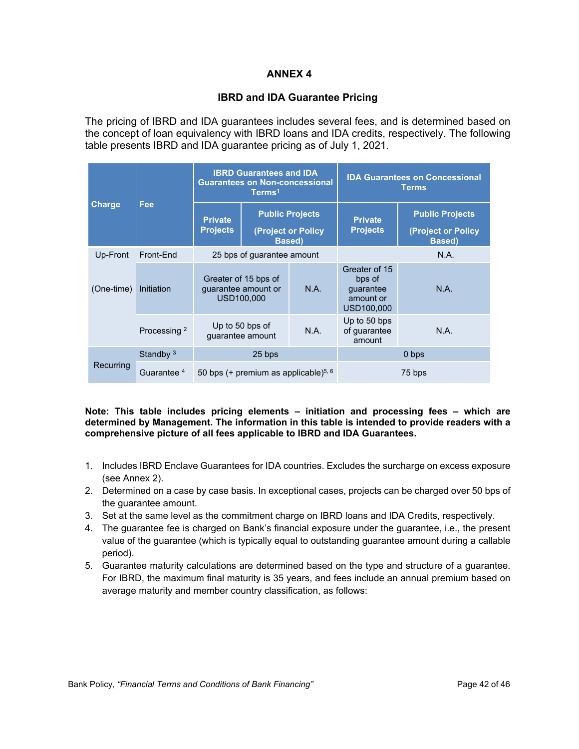# **ANNEX 4**

# **IBRD and IDA Guarantee Pricing**

The pricing of IBRD and IDA guarantees includes several fees, and is determined based on the concept of loan equivalency with IBRD loans and IDA credits, respectively. The following table presents IBRD and IDA guarantee pricing as of July 1, 2021.

|               |                         |                                                           | <b>IBRD Guarantees and IDA</b><br><b>Guarantees on Non-concessional</b><br>Terms <sup>1</sup> |                                                                | <b>IDA Guarantees on Concessional</b><br><b>Terms</b>           |                                                                |  |
|---------------|-------------------------|-----------------------------------------------------------|-----------------------------------------------------------------------------------------------|----------------------------------------------------------------|-----------------------------------------------------------------|----------------------------------------------------------------|--|
| <b>Charge</b> | Fee                     | <b>Private</b><br><b>Projects</b>                         |                                                                                               | <b>Public Projects</b><br>(Project or Policy<br><b>Based</b> ) | <b>Private</b><br><b>Projects</b>                               | <b>Public Projects</b><br>(Project or Policy<br><b>Based</b> ) |  |
| Up-Front      | Front-End               | 25 bps of guarantee amount                                |                                                                                               |                                                                | N.A.                                                            |                                                                |  |
| (One-time)    | Initiation              | Greater of 15 bps of<br>guarantee amount or<br>USD100,000 |                                                                                               | N.A.                                                           | Greater of 15<br>bps of<br>guarantee<br>amount or<br>USD100,000 | N.A.                                                           |  |
|               | Processing <sup>2</sup> | Up to 50 bps of<br>quarantee amount                       |                                                                                               | N.A.                                                           | Up to 50 bps<br>of guarantee<br>amount                          | N.A.                                                           |  |
|               | Standby $3$             |                                                           | 25 bps                                                                                        |                                                                | 0 bps                                                           |                                                                |  |
| Recurring     | Guarantee <sup>4</sup>  | 50 bps (+ premium as applicable) $5, 6$                   |                                                                                               |                                                                | 75 bps                                                          |                                                                |  |

**Note: This table includes pricing elements – initiation and processing fees – which are determined by Management. The information in this table is intended to provide readers with a comprehensive picture of all fees applicable to IBRD and IDA Guarantees.**

- 1. Includes IBRD Enclave Guarantees for IDA countries. Excludes the surcharge on excess exposure (see Annex 2).
- 2. Determined on a case by case basis. In exceptional cases, projects can be charged over 50 bps of the guarantee amount.
- 3. Set at the same level as the commitment charge on IBRD loans and IDA Credits, respectively.
- 4. The guarantee fee is charged on Bank's financial exposure under the guarantee, i.e., the present value of the guarantee (which is typically equal to outstanding guarantee amount during a callable period).
- 5. Guarantee maturity calculations are determined based on the type and structure of a guarantee. For IBRD, the maximum final maturity is 35 years, and fees include an annual premium based on average maturity and member country classification, as follows: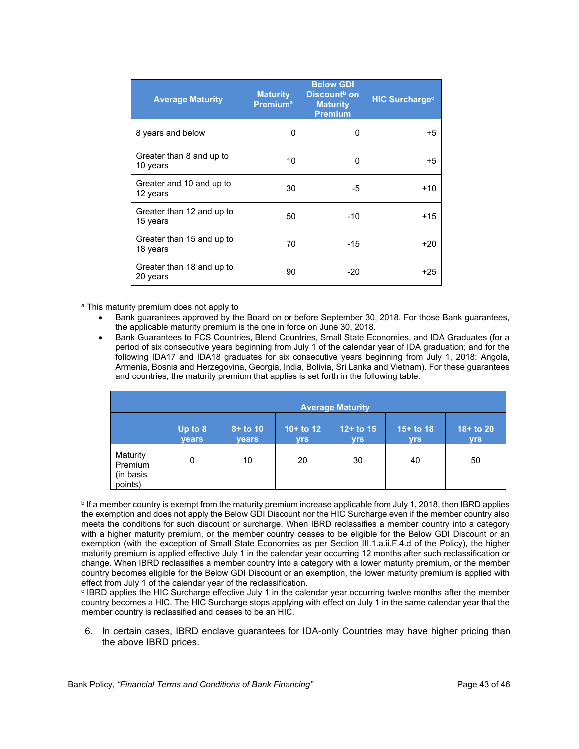| <b>Average Maturity</b>               | <b>Maturity</b><br><b>Premium<sup>a</sup></b> | <b>Below GDI</b><br>Discount <sup>b</sup> on<br><b>Maturity</b><br><b>Premium</b> | <b>HIC Surcharge<sup>c</sup></b> |
|---------------------------------------|-----------------------------------------------|-----------------------------------------------------------------------------------|----------------------------------|
| 8 years and below                     | 0                                             | 0                                                                                 | $+5$                             |
| Greater than 8 and up to<br>10 years  | 10                                            | 0                                                                                 | $+5$                             |
| Greater and 10 and up to<br>12 years  | 30                                            | -5                                                                                | $+10$                            |
| Greater than 12 and up to<br>15 years | 50                                            | $-10$                                                                             | $+15$                            |
| Greater than 15 and up to<br>18 years | 70                                            | $-15$                                                                             | $+20$                            |
| Greater than 18 and up to<br>20 years | 90                                            | -20                                                                               | +25                              |

<sup>a</sup> This maturity premium does not apply to

- Bank guarantees approved by the Board on or before September 30, 2018. For those Bank guarantees, the applicable maturity premium is the one in force on June 30, 2018.
- Bank Guarantees to FCS Countries, Blend Countries, Small State Economies, and IDA Graduates (for a period of six consecutive years beginning from July 1 of the calendar year of IDA graduation; and for the following IDA17 and IDA18 graduates for six consecutive years beginning from July 1, 2018: Angola, Armenia, Bosnia and Herzegovina, Georgia, India, Bolivia, Sri Lanka and Vietnam). For these guarantees and countries, the maturity premium that applies is set forth in the following table:

|                                             | <b>Average Maturity</b> |                             |                           |                           |                           |                            |  |
|---------------------------------------------|-------------------------|-----------------------------|---------------------------|---------------------------|---------------------------|----------------------------|--|
|                                             | Up to 8<br><b>years</b> | $8 +$ to 10<br><b>years</b> | $10+$ to 12<br><b>yrs</b> | $12+$ to 15<br><b>yrs</b> | $15+$ to 18<br><b>yrs</b> | $18 +$ to 20<br><b>yrs</b> |  |
| Maturity<br>Premium<br>(in basis<br>points) | 0                       | 10                          | 20                        | 30                        | 40                        | 50                         |  |

**b** If a member country is exempt from the maturity premium increase applicable from July 1, 2018, then IBRD applies the exemption and does not apply the Below GDI Discount nor the HIC Surcharge even if the member country also meets the conditions for such discount or surcharge. When IBRD reclassifies a member country into a category with a higher maturity premium, or the member country ceases to be eligible for the Below GDI Discount or an exemption (with the exception of Small State Economies as per Section III.1.a.ii.F.4.d of the Policy), the higher maturity premium is applied effective July 1 in the calendar year occurring 12 months after such reclassification or change. When IBRD reclassifies a member country into a category with a lower maturity premium, or the member country becomes eligible for the Below GDI Discount or an exemption, the lower maturity premium is applied with effect from July 1 of the calendar year of the reclassification.

c IBRD applies the HIC Surcharge effective July 1 in the calendar year occurring twelve months after the member country becomes a HIC. The HIC Surcharge stops applying with effect on July 1 in the same calendar year that the member country is reclassified and ceases to be an HIC.

6. In certain cases, IBRD enclave guarantees for IDA-only Countries may have higher pricing than the above IBRD prices.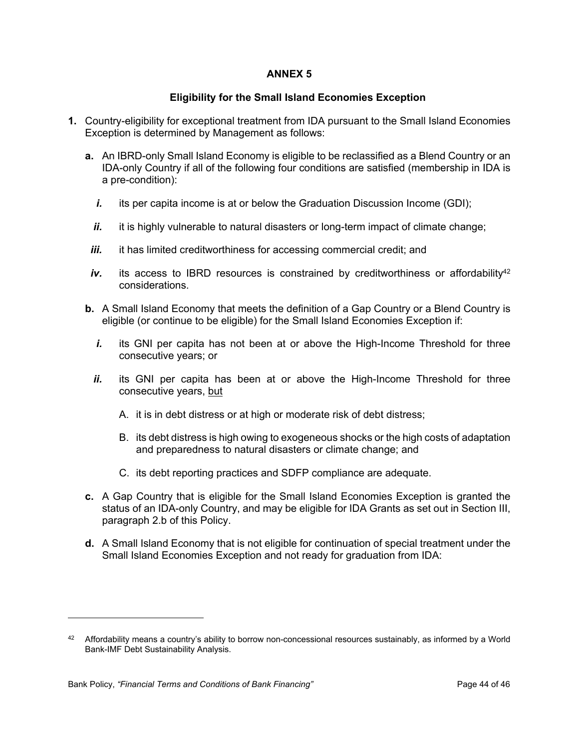# **ANNEX 5**

# **Eligibility for the Small Island Economies Exception**

- **1.** Country-eligibility for exceptional treatment from IDA pursuant to the Small Island Economies Exception is determined by Management as follows:
	- **a.** An IBRD-only Small Island Economy is eligible to be reclassified as a Blend Country or an IDA-only Country if all of the following four conditions are satisfied (membership in IDA is a pre-condition):
		- *i.* its per capita income is at or below the Graduation Discussion Income (GDI);
		- *ii.* it is highly vulnerable to natural disasters or long-term impact of climate change;
	- *iii.* it has limited creditworthiness for accessing commercial credit; and
	- $iv.$  its access to IBRD resources is constrained by creditworthiness or affordability<sup>42</sup> considerations.
	- **b.** A Small Island Economy that meets the definition of a Gap Country or a Blend Country is eligible (or continue to be eligible) for the Small Island Economies Exception if:
		- *i.* its GNI per capita has not been at or above the High-Income Threshold for three consecutive years; or
		- *ii.* its GNI per capita has been at or above the High-Income Threshold for three consecutive years, but
			- A. it is in debt distress or at high or moderate risk of debt distress;
			- B. its debt distress is high owing to exogeneous shocks or the high costs of adaptation and preparedness to natural disasters or climate change; and
			- C. its debt reporting practices and SDFP compliance are adequate.
	- **c.** A Gap Country that is eligible for the Small Island Economies Exception is granted the status of an IDA-only Country, and may be eligible for IDA Grants as set out in Section III, paragraph 2.b of this Policy.
	- **d.** A Small Island Economy that is not eligible for continuation of special treatment under the Small Island Economies Exception and not ready for graduation from IDA:

<sup>42</sup> Affordability means a country's ability to borrow non-concessional resources sustainably, as informed by a World Bank-IMF Debt Sustainability Analysis.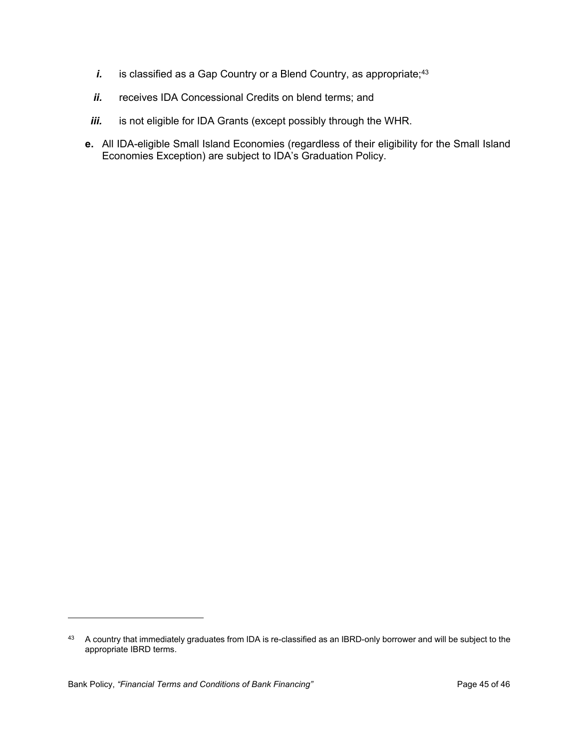- *i.* is classified as a Gap Country or a Blend Country, as appropriate;<sup>43</sup>
- *ii.* receives IDA Concessional Credits on blend terms; and
- *iii.* is not eligible for IDA Grants (except possibly through the WHR.
- **e.** All IDA-eligible Small Island Economies (regardless of their eligibility for the Small Island Economies Exception) are subject to IDA's Graduation Policy.

<sup>43</sup> A country that immediately graduates from IDA is re-classified as an IBRD-only borrower and will be subject to the appropriate IBRD terms.